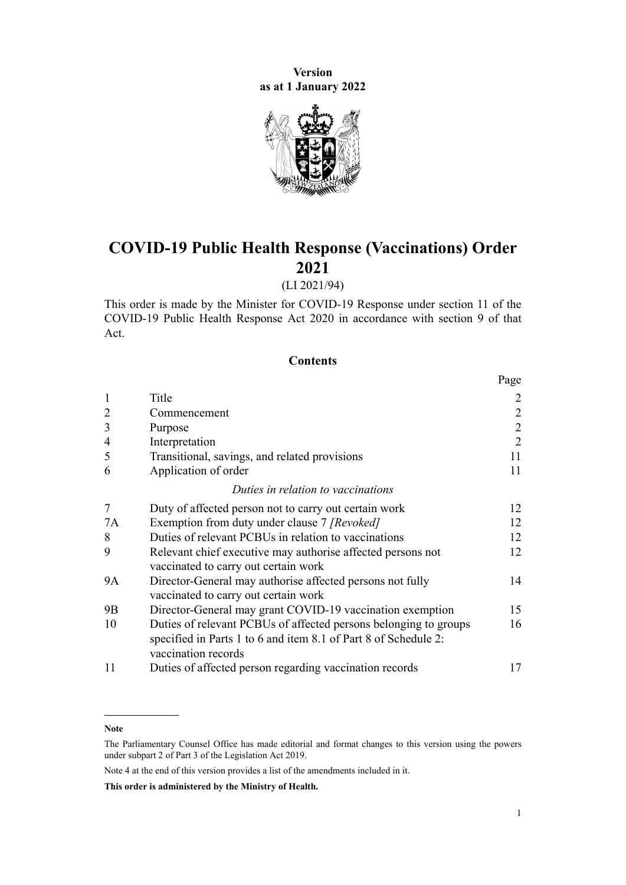**Version as at 1 January 2022**



# **COVID-19 Public Health Response (Vaccinations) Order 2021**

### (LI 2021/94)

This order is made by the Minister for COVID-19 Response under [section 11](http://legislation.govt.nz/pdflink.aspx?id=LMS344177) of the [COVID-19 Public Health Response Act 2020](http://legislation.govt.nz/pdflink.aspx?id=LMS344121) in accordance with [section 9](http://legislation.govt.nz/pdflink.aspx?id=LMS344175) of that Act.

### **Contents**

|                |                                                                                                                                                            | Page           |
|----------------|------------------------------------------------------------------------------------------------------------------------------------------------------------|----------------|
| $\mathbf{1}$   | Title                                                                                                                                                      | 2              |
| $\overline{2}$ | Commencement                                                                                                                                               | $\sqrt{2}$     |
| 3              | Purpose                                                                                                                                                    | $\overline{2}$ |
| $\overline{4}$ | Interpretation                                                                                                                                             | $\overline{2}$ |
| 5              | Transitional, savings, and related provisions                                                                                                              | 11             |
| 6              | Application of order                                                                                                                                       | 11             |
|                | Duties in relation to vaccinations                                                                                                                         |                |
| 7              | Duty of affected person not to carry out certain work                                                                                                      | 12             |
| 7A             | Exemption from duty under clause 7 [Revoked]                                                                                                               | 12             |
| 8              | Duties of relevant PCBUs in relation to vaccinations                                                                                                       | 12             |
| 9              | Relevant chief executive may authorise affected persons not                                                                                                | 12             |
| <b>9A</b>      | vaccinated to carry out certain work<br>Director-General may authorise affected persons not fully                                                          | 14             |
|                | vaccinated to carry out certain work                                                                                                                       |                |
| 9B             | Director-General may grant COVID-19 vaccination exemption                                                                                                  | 15             |
| 10             | Duties of relevant PCBUs of affected persons belonging to groups<br>specified in Parts 1 to 6 and item 8.1 of Part 8 of Schedule 2:<br>vaccination records | 16             |
| 11             | Duties of affected person regarding vaccination records                                                                                                    | 17             |

#### **Note**

Note 4 at the end of this version provides a list of the amendments included in it.

**This order is administered by the Ministry of Health.**

The Parliamentary Counsel Office has made editorial and format changes to this version using the powers under [subpart 2](http://legislation.govt.nz/pdflink.aspx?id=DLM7298371) of Part 3 of the Legislation Act 2019.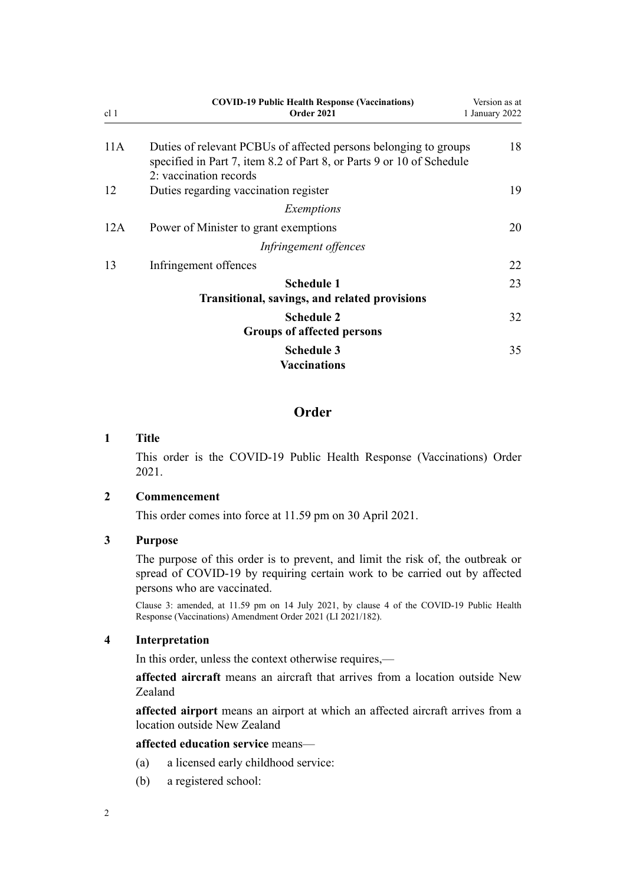<span id="page-1-0"></span>

| cl <sub>1</sub> | <b>COVID-19 Public Health Response (Vaccinations)</b><br><b>Order 2021</b>                                                                | Version as at<br>1 January 2022 |
|-----------------|-------------------------------------------------------------------------------------------------------------------------------------------|---------------------------------|
| 11A             | Duties of relevant PCBUs of affected persons belonging to groups<br>specified in Part 7, item 8.2 of Part 8, or Parts 9 or 10 of Schedule | 18                              |
|                 | 2: vaccination records                                                                                                                    |                                 |
| 12              | Duties regarding vaccination register                                                                                                     | 19                              |
|                 | Exemptions                                                                                                                                |                                 |
| 12A             | Power of Minister to grant exemptions                                                                                                     | 20                              |
|                 | Infringement offences                                                                                                                     |                                 |
| 13              | Infringement offences                                                                                                                     | 22                              |
|                 | <b>Schedule 1</b>                                                                                                                         | 23                              |
|                 | Transitional, savings, and related provisions                                                                                             |                                 |
|                 | <b>Schedule 2</b>                                                                                                                         | 32                              |
|                 | <b>Groups of affected persons</b>                                                                                                         |                                 |
|                 | <b>Schedule 3</b><br><b>Vaccinations</b>                                                                                                  | 35                              |

### **Order**

### **1 Title**

This order is the COVID-19 Public Health Response (Vaccinations) Order 2021.

### **2 Commencement**

This order comes into force at 11.59 pm on 30 April 2021.

### **3 Purpose**

The purpose of this order is to prevent, and limit the risk of, the outbreak or spread of COVID-19 by requiring certain work to be carried out by affected persons who are vaccinated.

Clause 3: amended, at 11.59 pm on 14 July 2021, by [clause 4](http://legislation.govt.nz/pdflink.aspx?id=LMS519287) of the COVID-19 Public Health Response (Vaccinations) Amendment Order 2021 (LI 2021/182).

### **4 Interpretation**

In this order, unless the context otherwise requires,—

**affected aircraft** means an aircraft that arrives from a location outside New Zealand

**affected airport** means an airport at which an affected aircraft arrives from a location outside New Zealand

### **affected education service** means—

- (a) a licensed early childhood service:
- (b) a registered school: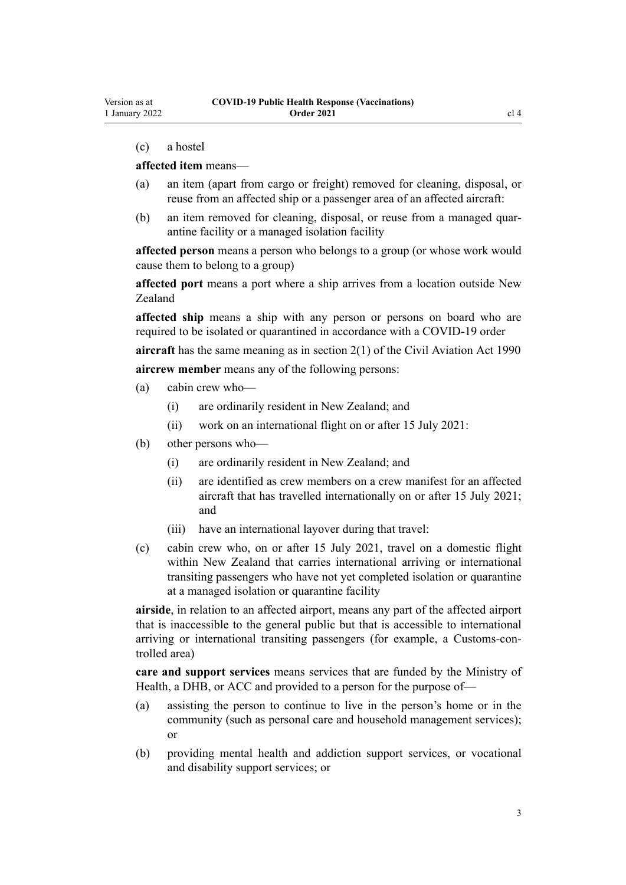### (c) a hostel

### **affected item** means—

- (a) an item (apart from cargo or freight) removed for cleaning, disposal, or reuse from an affected ship or a passenger area of an affected aircraft:
- (b) an item removed for cleaning, disposal, or reuse from a managed quarantine facility or a managed isolation facility

**affected person** means a person who belongs to a group (or whose work would cause them to belong to a group)

**affected port** means a port where a ship arrives from a location outside New Zealand

**affected ship** means a ship with any person or persons on board who are required to be isolated or quarantined in accordance with a COVID-19 order

**aircraft** has the same meaning as in [section 2\(1\)](http://legislation.govt.nz/pdflink.aspx?id=DLM214692) of the Civil Aviation Act 1990 **aircrew member** means any of the following persons:

- (a) cabin crew who—
	- (i) are ordinarily resident in New Zealand; and
	- (ii) work on an international flight on or after 15 July 2021:
- (b) other persons who—
	- (i) are ordinarily resident in New Zealand; and
	- (ii) are identified as crew members on a crew manifest for an affected aircraft that has travelled internationally on or after 15 July 2021; and
	- (iii) have an international layover during that travel:
- (c) cabin crew who, on or after 15 July 2021, travel on a domestic flight within New Zealand that carries international arriving or international transiting passengers who have not yet completed isolation or quarantine at a managed isolation or quarantine facility

**airside**, in relation to an affected airport, means any part of the affected airport that is inaccessible to the general public but that is accessible to international arriving or international transiting passengers (for example, a Customs-con‐ trolled area)

**care and support services** means services that are funded by the Ministry of Health, a DHB, or ACC and provided to a person for the purpose of—

- (a) assisting the person to continue to live in the person's home or in the community (such as personal care and household management services); or
- (b) providing mental health and addiction support services, or vocational and disability support services; or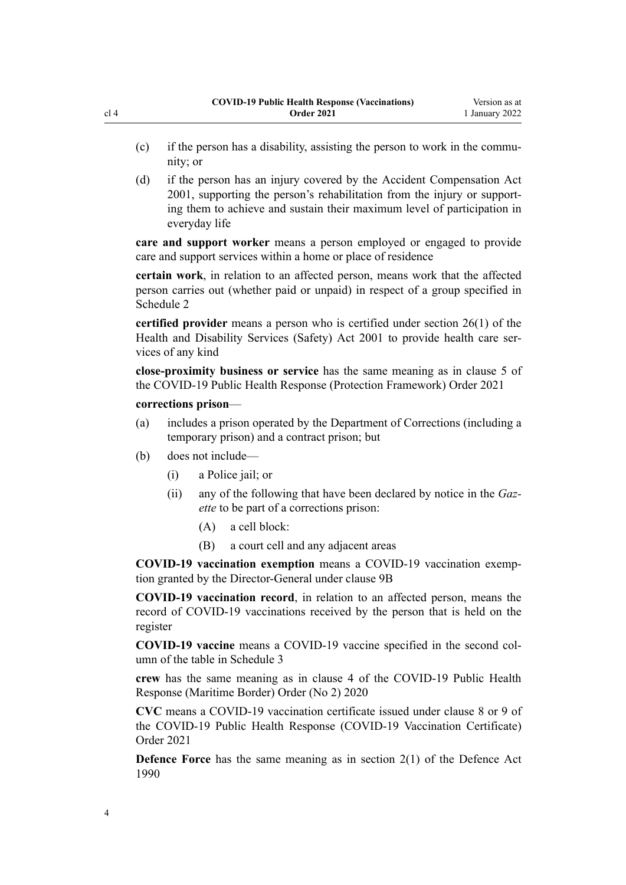- $(c)$  if the person has a disability, assisting the person to work in the community; or
- (d) if the person has an injury covered by the [Accident Compensation Act](http://legislation.govt.nz/pdflink.aspx?id=DLM99493) [2001](http://legislation.govt.nz/pdflink.aspx?id=DLM99493), supporting the person's rehabilitation from the injury or support‐ ing them to achieve and sustain their maximum level of participation in everyday life

**care and support worker** means a person employed or engaged to provide care and support services within a home or place of residence

**certain work**, in relation to an affected person, means work that the affected person carries out (whether paid or unpaid) in respect of a group specified in [Schedule 2](#page-31-0)

**certified provider** means a person who is certified under [section 26\(1\)](http://legislation.govt.nz/pdflink.aspx?id=DLM120559) of the Health and Disability Services (Safety) Act 2001 to provide health care services of any kind

**close-proximity business or service** has the same meaning as in [clause 5](http://legislation.govt.nz/pdflink.aspx?id=LMS573241) of the COVID-19 Public Health Response (Protection Framework) Order 2021

### **corrections prison**—

- (a) includes a prison operated by the Department of Corrections (including a temporary prison) and a contract prison; but
- (b) does not include—
	- (i) a Police jail; or
	- (ii) any of the following that have been declared by notice in the *Gaz‐ ette* to be part of a corrections prison:
		- (A) a cell block:
		- (B) a court cell and any adjacent areas

**COVID-19 vaccination exemption** means a COVID-19 vaccination exemp‐ tion granted by the Director-General under [clause 9B](#page-14-0)

**COVID-19 vaccination record**, in relation to an affected person, means the record of COVID-19 vaccinations received by the person that is held on the register

**COVID-19 vaccine** means a COVID-19 vaccine specified in the second col‐ umn of the table in [Schedule 3](#page-34-0)

**crew** has the same meaning as in [clause 4](http://legislation.govt.nz/pdflink.aspx?id=LMS403543) of the COVID-19 Public Health Response (Maritime Border) Order (No 2) 2020

**CVC** means a COVID-19 vaccination certificate issued under [clause 8](http://legislation.govt.nz/pdflink.aspx?id=LMS607060) or [9](http://legislation.govt.nz/pdflink.aspx?id=LMS607061) of the COVID-19 Public Health Response (COVID-19 Vaccination Certificate) Order 2021

**Defence Force** has the same meaning as in [section 2\(1\)](http://legislation.govt.nz/pdflink.aspx?id=DLM204978) of the Defence Act 1990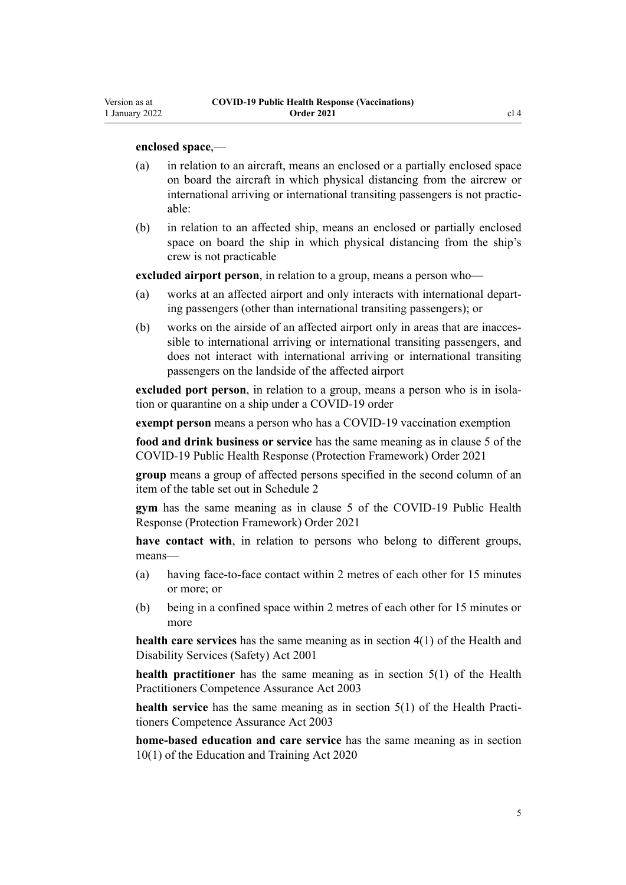Version as at

### **enclosed space**,—

- (a) in relation to an aircraft, means an enclosed or a partially enclosed space on board the aircraft in which physical distancing from the aircrew or international arriving or international transiting passengers is not practicable:
- (b) in relation to an affected ship, means an enclosed or partially enclosed space on board the ship in which physical distancing from the ship's crew is not practicable

**excluded airport person**, in relation to a group, means a person who—

- (a) works at an affected airport and only interacts with international depart‐ ing passengers (other than international transiting passengers); or
- (b) works on the airside of an affected airport only in areas that are inaccessible to international arriving or international transiting passengers, and does not interact with international arriving or international transiting passengers on the landside of the affected airport

**excluded port person**, in relation to a group, means a person who is in isolation or quarantine on a ship under a COVID-19 order

**exempt person** means a person who has a COVID-19 vaccination exemption

**food and drink business or service** has the same meaning as in [clause 5](http://legislation.govt.nz/pdflink.aspx?id=LMS573241) of the COVID-19 Public Health Response (Protection Framework) Order 2021

**group** means a group of affected persons specified in the second column of an item of the table set out in [Schedule 2](#page-31-0)

**gym** has the same meaning as in [clause 5](http://legislation.govt.nz/pdflink.aspx?id=LMS573241) of the COVID-19 Public Health Response (Protection Framework) Order 2021

**have contact with**, in relation to persons who belong to different groups, means—

- (a) having face-to-face contact within 2 metres of each other for 15 minutes or more; or
- (b) being in a confined space within 2 metres of each other for 15 minutes or more

**health care services** has the same meaning as in [section 4\(1\)](http://legislation.govt.nz/pdflink.aspx?id=DLM119982) of the Health and Disability Services (Safety) Act 2001

**health practitioner** has the same meaning as in [section 5\(1\)](http://legislation.govt.nz/pdflink.aspx?id=DLM203321) of the Health Practitioners Competence Assurance Act 2003

**health service** has the same meaning as in [section 5\(1\)](http://legislation.govt.nz/pdflink.aspx?id=DLM203321) of the Health Practitioners Competence Assurance Act 2003

**home-based education and care service** has the same meaning as in [section](http://legislation.govt.nz/pdflink.aspx?id=LMS171311) [10\(1\)](http://legislation.govt.nz/pdflink.aspx?id=LMS171311) of the Education and Training Act 2020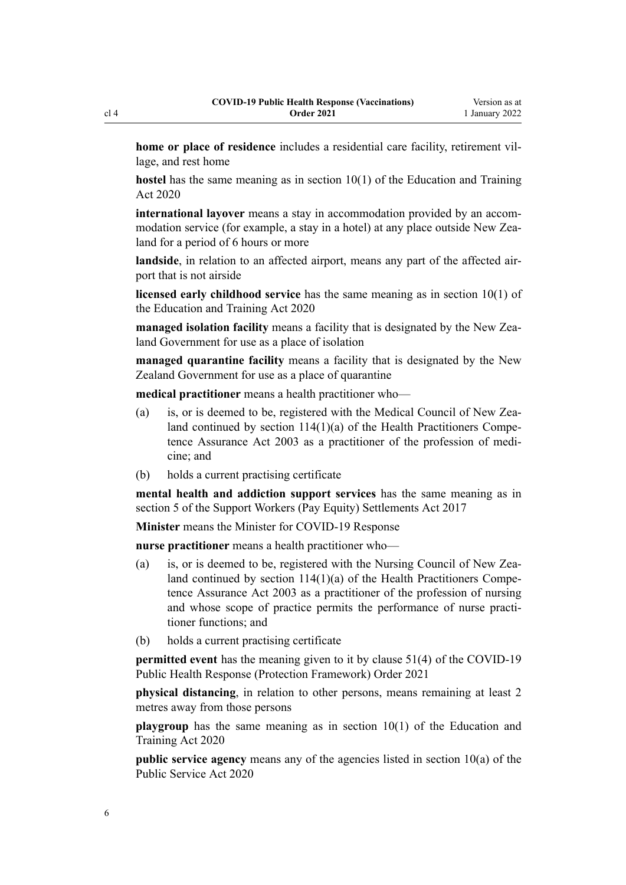**home or place of residence** includes a residential care facility, retirement village, and rest home

**hostel** has the same meaning as in [section 10\(1\)](http://legislation.govt.nz/pdflink.aspx?id=LMS171311) of the Education and Training Act 2020

**international layover** means a stay in accommodation provided by an accommodation service (for example, a stay in a hotel) at any place outside New Zealand for a period of 6 hours or more

landside, in relation to an affected airport, means any part of the affected airport that is not airside

**licensed early childhood service** has the same meaning as in [section 10\(1\)](http://legislation.govt.nz/pdflink.aspx?id=LMS171311) of the Education and Training Act 2020

**managed isolation facility** means a facility that is designated by the New Zealand Government for use as a place of isolation

**managed quarantine facility** means a facility that is designated by the New Zealand Government for use as a place of quarantine

**medical practitioner** means a health practitioner who—

- (a) is, or is deemed to be, registered with the Medical Council of New Zealand continued by section  $114(1)(a)$  of the Health Practitioners Competence Assurance Act 2003 as a practitioner of the profession of medi‐ cine; and
- (b) holds a current practising certificate

**mental health and addiction support services** has the same meaning as in [section 5](http://legislation.govt.nz/pdflink.aspx?id=DLM7269117) of the Support Workers (Pay Equity) Settlements Act 2017

**Minister** means the Minister for COVID-19 Response

**nurse practitioner** means a health practitioner who—

- (a) is, or is deemed to be, registered with the Nursing Council of New Zealand continued by section  $114(1)(a)$  of the Health Practitioners Competence Assurance Act 2003 as a practitioner of the profession of nursing and whose scope of practice permits the performance of nurse practitioner functions; and
- (b) holds a current practising certificate

**permitted event** has the meaning given to it by [clause 51\(4\)](http://legislation.govt.nz/pdflink.aspx?id=LMS602217) of the COVID-19 Public Health Response (Protection Framework) Order 2021

**physical distancing**, in relation to other persons, means remaining at least 2 metres away from those persons

**playgroup** has the same meaning as in [section 10\(1\)](http://legislation.govt.nz/pdflink.aspx?id=LMS171311) of the Education and Training Act 2020

**public service agency** means any of the agencies listed in [section 10\(a\)](http://legislation.govt.nz/pdflink.aspx?id=LMS223340) of the Public Service Act 2020

cl 4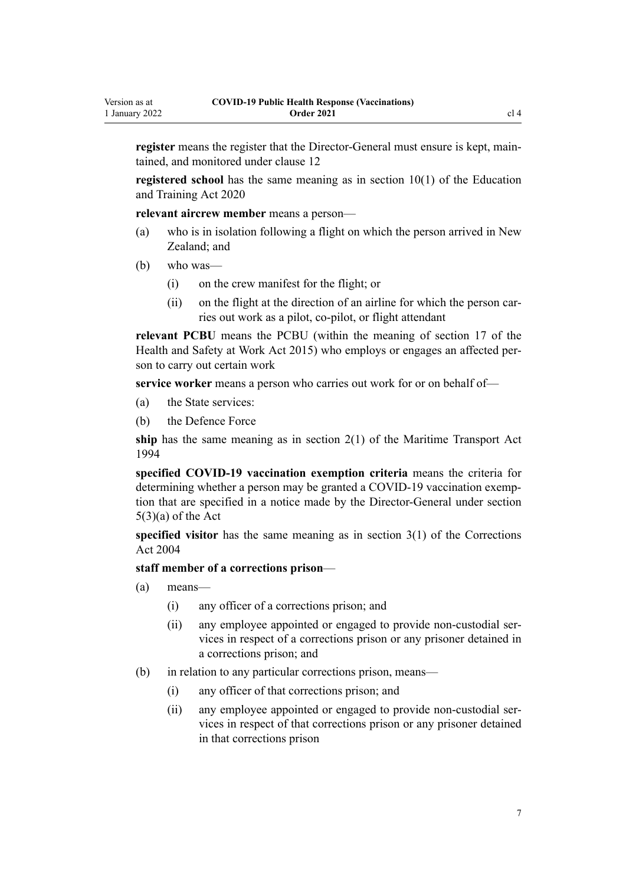**register** means the register that the Director-General must ensure is kept, maintained, and monitored under [clause 12](#page-18-0)

**registered school** has the same meaning as in [section 10\(1\)](http://legislation.govt.nz/pdflink.aspx?id=LMS171311) of the Education and Training Act 2020

**relevant aircrew member** means a person—

- (a) who is in isolation following a flight on which the person arrived in New Zealand; and
- (b) who was—
	- (i) on the crew manifest for the flight; or
	- (ii) on the flight at the direction of an airline for which the person carries out work as a pilot, co-pilot, or flight attendant

**relevant PCBU** means the PCBU (within the meaning of [section 17](http://legislation.govt.nz/pdflink.aspx?id=DLM5976849) of the Health and Safety at Work Act 2015) who employs or engages an affected per‐ son to carry out certain work

**service worker** means a person who carries out work for or on behalf of—

- (a) the State services:
- (b) the Defence Force

**ship** has the same meaning as in [section 2\(1\)](http://legislation.govt.nz/pdflink.aspx?id=DLM334667) of the Maritime Transport Act 1994

**specified COVID-19 vaccination exemption criteria** means the criteria for determining whether a person may be granted a COVID-19 vaccination exemp‐ tion that are specified in a notice made by the Director-General under [section](http://legislation.govt.nz/pdflink.aspx?id=LMS344170)  $5(3)(a)$  of the Act

**specified visitor** has the same meaning as in [section 3\(1\)](http://legislation.govt.nz/pdflink.aspx?id=DLM294857) of the Corrections Act 2004

### **staff member of a corrections prison**—

- (a) means—
	- (i) any officer of a corrections prison; and
	- (ii) any employee appointed or engaged to provide non-custodial ser‐ vices in respect of a corrections prison or any prisoner detained in a corrections prison; and
- (b) in relation to any particular corrections prison, means—
	- (i) any officer of that corrections prison; and
	- (ii) any employee appointed or engaged to provide non-custodial ser‐ vices in respect of that corrections prison or any prisoner detained in that corrections prison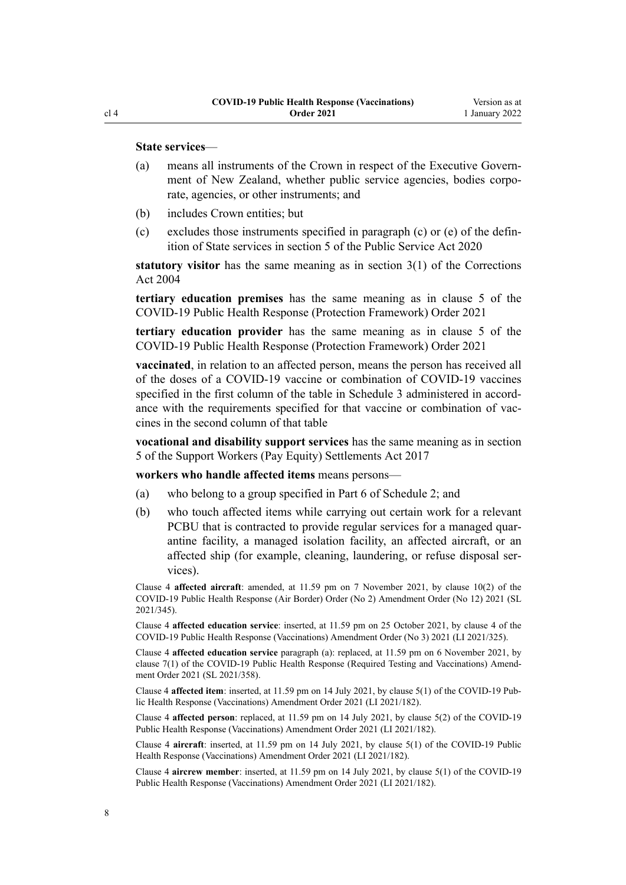### **State services**—

- (a) means all instruments of the Crown in respect of the Executive Government of New Zealand, whether public service agencies, bodies corporate, agencies, or other instruments; and
- (b) includes Crown entities; but
- (c) excludes those instruments specified in paragraph (c) or (e) of the definition of State services in [section 5](http://legislation.govt.nz/pdflink.aspx?id=LMS356868) of the Public Service Act 2020

**statutory visitor** has the same meaning as in [section 3\(1\)](http://legislation.govt.nz/pdflink.aspx?id=DLM294857) of the Corrections Act 2004

**tertiary education premises** has the same meaning as in [clause 5](http://legislation.govt.nz/pdflink.aspx?id=LMS573241) of the COVID-19 Public Health Response (Protection Framework) Order 2021

**tertiary education provider** has the same meaning as in [clause 5](http://legislation.govt.nz/pdflink.aspx?id=LMS573241) of the COVID-19 Public Health Response (Protection Framework) Order 2021

**vaccinated**, in relation to an affected person, means the person has received all of the doses of a COVID-19 vaccine or combination of COVID-19 vaccines specified in the first column of the table in [Schedule 3](#page-34-0) administered in accordance with the requirements specified for that vaccine or combination of vaccines in the second column of that table

**vocational and disability support services** has the same meaning as in [section](http://legislation.govt.nz/pdflink.aspx?id=DLM7269117) [5](http://legislation.govt.nz/pdflink.aspx?id=DLM7269117) of the Support Workers (Pay Equity) Settlements Act 2017

**workers who handle affected items** means persons—

- (a) who belong to a group specified in Part 6 of [Schedule 2](#page-31-0); and
- (b) who touch affected items while carrying out certain work for a relevant PCBU that is contracted to provide regular services for a managed quarantine facility, a managed isolation facility, an affected aircraft, or an affected ship (for example, cleaning, laundering, or refuse disposal ser‐ vices).

Clause 4 **affected aircraft**: amended, at 11.59 pm on 7 November 2021, by [clause 10\(2\)](http://legislation.govt.nz/pdflink.aspx?id=LMS584325) of the COVID-19 Public Health Response (Air Border) Order (No 2) Amendment Order (No 12) 2021 (SL 2021/345).

Clause 4 **affected education service**: inserted, at 11.59 pm on 25 October 2021, by [clause 4](http://legislation.govt.nz/pdflink.aspx?id=LMS579361) of the COVID-19 Public Health Response (Vaccinations) Amendment Order (No 3) 2021 (LI 2021/325).

Clause 4 **affected education service** paragraph (a): replaced, at 11.59 pm on 6 November 2021, by [clause 7\(1\)](http://legislation.govt.nz/pdflink.aspx?id=LMS591999) of the COVID-19 Public Health Response (Required Testing and Vaccinations) Amend‐ ment Order 2021 (SL 2021/358).

Clause 4 **affected item**: inserted, at 11.59 pm on 14 July 2021, by [clause 5\(1\)](http://legislation.govt.nz/pdflink.aspx?id=LMS519332) of the COVID-19 Pub‐ lic Health Response (Vaccinations) Amendment Order 2021 (LI 2021/182).

Clause 4 **affected person**: replaced, at 11.59 pm on 14 July 2021, by [clause 5\(2\)](http://legislation.govt.nz/pdflink.aspx?id=LMS519332) of the COVID-19 Public Health Response (Vaccinations) Amendment Order 2021 (LI 2021/182).

Clause 4 **aircraft**: inserted, at 11.59 pm on 14 July 2021, by [clause 5\(1\)](http://legislation.govt.nz/pdflink.aspx?id=LMS519332) of the COVID-19 Public Health Response (Vaccinations) Amendment Order 2021 (LI 2021/182).

Clause 4 **aircrew member**: inserted, at 11.59 pm on 14 July 2021, by [clause 5\(1\)](http://legislation.govt.nz/pdflink.aspx?id=LMS519332) of the COVID-19 Public Health Response (Vaccinations) Amendment Order 2021 (LI 2021/182).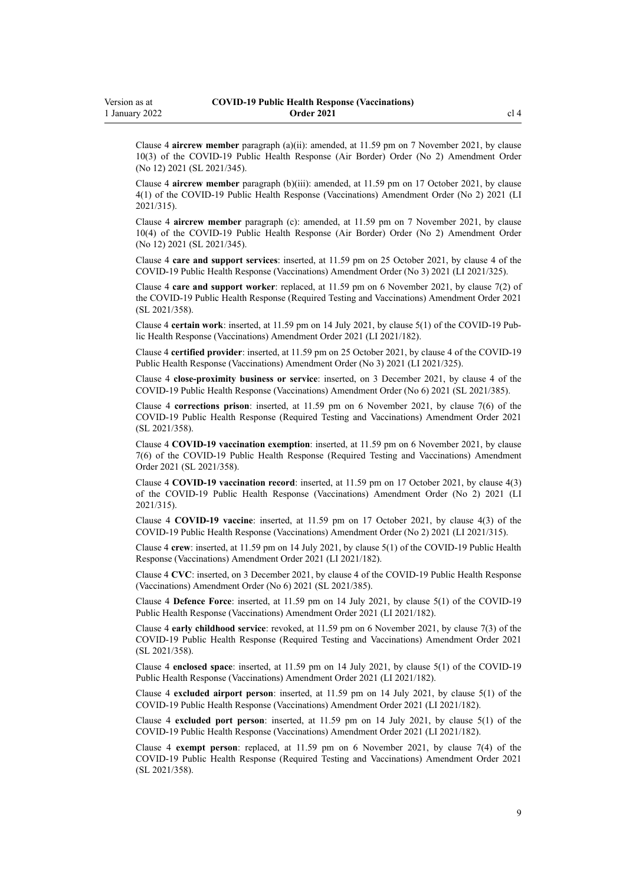Clause 4 **aircrew member** paragraph (a)(ii): amended, at 11.59 pm on 7 November 2021, by [clause](http://legislation.govt.nz/pdflink.aspx?id=LMS584325) [10\(3\)](http://legislation.govt.nz/pdflink.aspx?id=LMS584325) of the COVID-19 Public Health Response (Air Border) Order (No 2) Amendment Order (No 12) 2021 (SL 2021/345).

Clause 4 **aircrew member** paragraph (b)(iii): amended, at 11.59 pm on 17 October 2021, by [clause](http://legislation.govt.nz/pdflink.aspx?id=LMS571558) [4\(1\)](http://legislation.govt.nz/pdflink.aspx?id=LMS571558) of the COVID-19 Public Health Response (Vaccinations) Amendment Order (No 2) 2021 (LI 2021/315).

Clause 4 **aircrew member** paragraph (c): amended, at 11.59 pm on 7 November 2021, by [clause](http://legislation.govt.nz/pdflink.aspx?id=LMS584325) [10\(4\)](http://legislation.govt.nz/pdflink.aspx?id=LMS584325) of the COVID-19 Public Health Response (Air Border) Order (No 2) Amendment Order (No 12) 2021 (SL 2021/345).

Clause 4 **care and support services**: inserted, at 11.59 pm on 25 October 2021, by [clause 4](http://legislation.govt.nz/pdflink.aspx?id=LMS579361) of the COVID-19 Public Health Response (Vaccinations) Amendment Order (No 3) 2021 (LI 2021/325).

Clause 4 **care and support worker**: replaced, at 11.59 pm on 6 November 2021, by [clause 7\(2\)](http://legislation.govt.nz/pdflink.aspx?id=LMS591999) of the COVID-19 Public Health Response (Required Testing and Vaccinations) Amendment Order 2021 (SL 2021/358).

Clause 4 **certain work**: inserted, at 11.59 pm on 14 July 2021, by [clause 5\(1\)](http://legislation.govt.nz/pdflink.aspx?id=LMS519332) of the COVID-19 Pub‐ lic Health Response (Vaccinations) Amendment Order 2021 (LI 2021/182).

Clause 4 **certified provider**: inserted, at 11.59 pm on 25 October 2021, by [clause 4](http://legislation.govt.nz/pdflink.aspx?id=LMS579361) of the COVID-19 Public Health Response (Vaccinations) Amendment Order (No 3) 2021 (LI 2021/325).

Clause 4 **close-proximity business or service**: inserted, on 3 December 2021, by [clause 4](http://legislation.govt.nz/pdflink.aspx?id=LMS609399) of the COVID-19 Public Health Response (Vaccinations) Amendment Order (No 6) 2021 (SL 2021/385).

Clause 4 **corrections prison**: inserted, at 11.59 pm on 6 November 2021, by [clause 7\(6\)](http://legislation.govt.nz/pdflink.aspx?id=LMS591999) of the COVID-19 Public Health Response (Required Testing and Vaccinations) Amendment Order 2021 (SL 2021/358).

Clause 4 **COVID-19 vaccination exemption**: inserted, at 11.59 pm on 6 November 2021, by [clause](http://legislation.govt.nz/pdflink.aspx?id=LMS591999) [7\(6\)](http://legislation.govt.nz/pdflink.aspx?id=LMS591999) of the COVID-19 Public Health Response (Required Testing and Vaccinations) Amendment Order 2021 (SL 2021/358).

Clause 4 **COVID-19 vaccination record**: inserted, at 11.59 pm on 17 October 2021, by [clause 4\(3\)](http://legislation.govt.nz/pdflink.aspx?id=LMS571558) of the COVID-19 Public Health Response (Vaccinations) Amendment Order (No 2) 2021 (LI 2021/315).

Clause 4 **COVID-19 vaccine**: inserted, at 11.59 pm on 17 October 2021, by [clause 4\(3\)](http://legislation.govt.nz/pdflink.aspx?id=LMS571558) of the COVID-19 Public Health Response (Vaccinations) Amendment Order (No 2) 2021 (LI 2021/315).

Clause 4 **crew**: inserted, at 11.59 pm on 14 July 2021, by [clause 5\(1\)](http://legislation.govt.nz/pdflink.aspx?id=LMS519332) of the COVID-19 Public Health Response (Vaccinations) Amendment Order 2021 (LI 2021/182).

Clause 4 **CVC**: inserted, on 3 December 2021, by [clause 4](http://legislation.govt.nz/pdflink.aspx?id=LMS609399) of the COVID-19 Public Health Response (Vaccinations) Amendment Order (No 6) 2021 (SL 2021/385).

Clause 4 **Defence Force**: inserted, at 11.59 pm on 14 July 2021, by [clause 5\(1\)](http://legislation.govt.nz/pdflink.aspx?id=LMS519332) of the COVID-19 Public Health Response (Vaccinations) Amendment Order 2021 (LI 2021/182).

Clause 4 **early childhood service**: revoked, at 11.59 pm on 6 November 2021, by [clause 7\(3\)](http://legislation.govt.nz/pdflink.aspx?id=LMS591999) of the COVID-19 Public Health Response (Required Testing and Vaccinations) Amendment Order 2021 (SL 2021/358).

Clause 4 **enclosed space**: inserted, at 11.59 pm on 14 July 2021, by [clause 5\(1\)](http://legislation.govt.nz/pdflink.aspx?id=LMS519332) of the COVID-19 Public Health Response (Vaccinations) Amendment Order 2021 (LI 2021/182).

Clause 4 **excluded airport person**: inserted, at 11.59 pm on 14 July 2021, by [clause 5\(1\)](http://legislation.govt.nz/pdflink.aspx?id=LMS519332) of the COVID-19 Public Health Response (Vaccinations) Amendment Order 2021 (LI 2021/182).

Clause 4 **excluded port person**: inserted, at 11.59 pm on 14 July 2021, by [clause 5\(1\)](http://legislation.govt.nz/pdflink.aspx?id=LMS519332) of the COVID-19 Public Health Response (Vaccinations) Amendment Order 2021 (LI 2021/182).

Clause 4 **exempt person**: replaced, at 11.59 pm on 6 November 2021, by [clause 7\(4\)](http://legislation.govt.nz/pdflink.aspx?id=LMS591999) of the COVID-19 Public Health Response (Required Testing and Vaccinations) Amendment Order 2021 (SL 2021/358).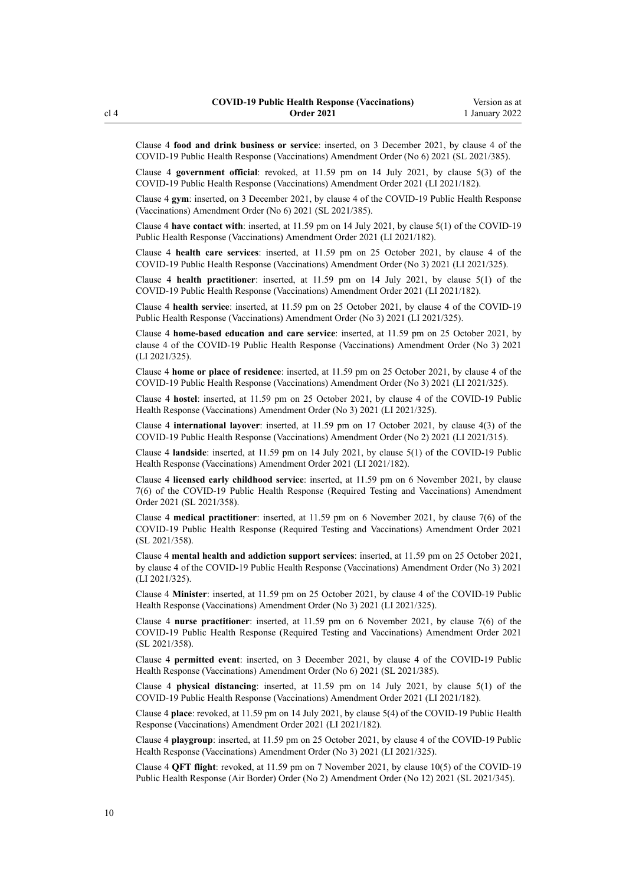Clause 4 **food and drink business or service**: inserted, on 3 December 2021, by [clause 4](http://legislation.govt.nz/pdflink.aspx?id=LMS609399) of the COVID-19 Public Health Response (Vaccinations) Amendment Order (No 6) 2021 (SL 2021/385).

Clause 4 **government official**: revoked, at 11.59 pm on 14 July 2021, by [clause 5\(3\)](http://legislation.govt.nz/pdflink.aspx?id=LMS519332) of the COVID-19 Public Health Response (Vaccinations) Amendment Order 2021 (LI 2021/182).

Clause 4 **gym**: inserted, on 3 December 2021, by [clause 4](http://legislation.govt.nz/pdflink.aspx?id=LMS609399) of the COVID-19 Public Health Response (Vaccinations) Amendment Order (No 6) 2021 (SL 2021/385).

Clause 4 **have contact with**: inserted, at 11.59 pm on 14 July 2021, by [clause 5\(1\)](http://legislation.govt.nz/pdflink.aspx?id=LMS519332) of the COVID-19 Public Health Response (Vaccinations) Amendment Order 2021 (LI 2021/182).

Clause 4 **health care services**: inserted, at 11.59 pm on 25 October 2021, by [clause 4](http://legislation.govt.nz/pdflink.aspx?id=LMS579361) of the COVID-19 Public Health Response (Vaccinations) Amendment Order (No 3) 2021 (LI 2021/325).

Clause 4 **health practitioner**: inserted, at 11.59 pm on 14 July 2021, by [clause 5\(1\)](http://legislation.govt.nz/pdflink.aspx?id=LMS519332) of the COVID-19 Public Health Response (Vaccinations) Amendment Order 2021 (LI 2021/182).

Clause 4 **health service**: inserted, at 11.59 pm on 25 October 2021, by [clause 4](http://legislation.govt.nz/pdflink.aspx?id=LMS579361) of the COVID-19 Public Health Response (Vaccinations) Amendment Order (No 3) 2021 (LI 2021/325).

Clause 4 **home-based education and care service**: inserted, at 11.59 pm on 25 October 2021, by [clause 4](http://legislation.govt.nz/pdflink.aspx?id=LMS579361) of the COVID-19 Public Health Response (Vaccinations) Amendment Order (No 3) 2021 (LI 2021/325).

Clause 4 **home or place of residence**: inserted, at 11.59 pm on 25 October 2021, by [clause 4](http://legislation.govt.nz/pdflink.aspx?id=LMS579361) of the COVID-19 Public Health Response (Vaccinations) Amendment Order (No 3) 2021 (LI 2021/325).

Clause 4 **hostel**: inserted, at 11.59 pm on 25 October 2021, by [clause 4](http://legislation.govt.nz/pdflink.aspx?id=LMS579361) of the COVID-19 Public Health Response (Vaccinations) Amendment Order (No 3) 2021 (LI 2021/325).

Clause 4 **international layover**: inserted, at 11.59 pm on 17 October 2021, by [clause 4\(3\)](http://legislation.govt.nz/pdflink.aspx?id=LMS571558) of the COVID-19 Public Health Response (Vaccinations) Amendment Order (No 2) 2021 (LI 2021/315).

Clause 4 **landside**: inserted, at 11.59 pm on 14 July 2021, by [clause 5\(1\)](http://legislation.govt.nz/pdflink.aspx?id=LMS519332) of the COVID-19 Public Health Response (Vaccinations) Amendment Order 2021 (LI 2021/182).

Clause 4 **licensed early childhood service**: inserted, at 11.59 pm on 6 November 2021, by [clause](http://legislation.govt.nz/pdflink.aspx?id=LMS591999) [7\(6\)](http://legislation.govt.nz/pdflink.aspx?id=LMS591999) of the COVID-19 Public Health Response (Required Testing and Vaccinations) Amendment Order 2021 (SL 2021/358).

Clause 4 **medical practitioner**: inserted, at 11.59 pm on 6 November 2021, by [clause 7\(6\)](http://legislation.govt.nz/pdflink.aspx?id=LMS591999) of the COVID-19 Public Health Response (Required Testing and Vaccinations) Amendment Order 2021 (SL 2021/358).

Clause 4 **mental health and addiction support services**: inserted, at 11.59 pm on 25 October 2021, by [clause 4](http://legislation.govt.nz/pdflink.aspx?id=LMS579361) of the COVID-19 Public Health Response (Vaccinations) Amendment Order (No 3) 2021 (LI 2021/325).

Clause 4 **Minister**: inserted, at 11.59 pm on 25 October 2021, by [clause 4](http://legislation.govt.nz/pdflink.aspx?id=LMS579361) of the COVID-19 Public Health Response (Vaccinations) Amendment Order (No 3) 2021 (LI 2021/325).

Clause 4 **nurse practitioner**: inserted, at 11.59 pm on 6 November 2021, by [clause 7\(6\)](http://legislation.govt.nz/pdflink.aspx?id=LMS591999) of the COVID-19 Public Health Response (Required Testing and Vaccinations) Amendment Order 2021 (SL 2021/358).

Clause 4 **permitted event**: inserted, on 3 December 2021, by [clause 4](http://legislation.govt.nz/pdflink.aspx?id=LMS609399) of the COVID-19 Public Health Response (Vaccinations) Amendment Order (No 6) 2021 (SL 2021/385).

Clause 4 **physical distancing**: inserted, at 11.59 pm on 14 July 2021, by [clause 5\(1\)](http://legislation.govt.nz/pdflink.aspx?id=LMS519332) of the COVID-19 Public Health Response (Vaccinations) Amendment Order 2021 (LI 2021/182).

Clause 4 **place**: revoked, at 11.59 pm on 14 July 2021, by [clause 5\(4\)](http://legislation.govt.nz/pdflink.aspx?id=LMS519332) of the COVID-19 Public Health Response (Vaccinations) Amendment Order 2021 (LI 2021/182).

Clause 4 **playgroup**: inserted, at 11.59 pm on 25 October 2021, by [clause 4](http://legislation.govt.nz/pdflink.aspx?id=LMS579361) of the COVID-19 Public Health Response (Vaccinations) Amendment Order (No 3) 2021 (LI 2021/325).

Clause 4 **QFT flight**: revoked, at 11.59 pm on 7 November 2021, by [clause 10\(5\)](http://legislation.govt.nz/pdflink.aspx?id=LMS584325) of the COVID-19 Public Health Response (Air Border) Order (No 2) Amendment Order (No 12) 2021 (SL 2021/345).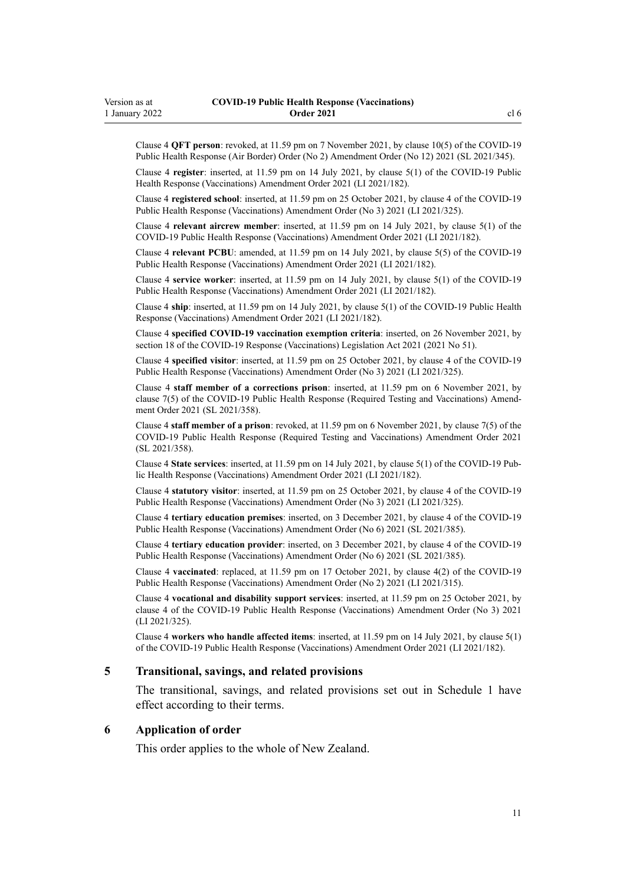<span id="page-10-0"></span>Clause 4 **QFT person**: revoked, at 11.59 pm on 7 November 2021, by [clause 10\(5\)](http://legislation.govt.nz/pdflink.aspx?id=LMS584325) of the COVID-19 Public Health Response (Air Border) Order (No 2) Amendment Order (No 12) 2021 (SL 2021/345).

Clause 4 **register**: inserted, at 11.59 pm on 14 July 2021, by [clause 5\(1\)](http://legislation.govt.nz/pdflink.aspx?id=LMS519332) of the COVID-19 Public Health Response (Vaccinations) Amendment Order 2021 (LI 2021/182).

Clause 4 **registered school**: inserted, at 11.59 pm on 25 October 2021, by [clause 4](http://legislation.govt.nz/pdflink.aspx?id=LMS579361) of the COVID-19 Public Health Response (Vaccinations) Amendment Order (No 3) 2021 (LI 2021/325).

Clause 4 **relevant aircrew member**: inserted, at 11.59 pm on 14 July 2021, by [clause 5\(1\)](http://legislation.govt.nz/pdflink.aspx?id=LMS519332) of the COVID-19 Public Health Response (Vaccinations) Amendment Order 2021 (LI 2021/182).

Clause 4 **relevant PCBU**: amended, at 11.59 pm on 14 July 2021, by [clause 5\(5\)](http://legislation.govt.nz/pdflink.aspx?id=LMS519332) of the COVID-19 Public Health Response (Vaccinations) Amendment Order 2021 (LI 2021/182).

Clause 4 **service worker**: inserted, at 11.59 pm on 14 July 2021, by [clause 5\(1\)](http://legislation.govt.nz/pdflink.aspx?id=LMS519332) of the COVID-19 Public Health Response (Vaccinations) Amendment Order 2021 (LI 2021/182).

Clause 4 **ship**: inserted, at 11.59 pm on 14 July 2021, by [clause 5\(1\)](http://legislation.govt.nz/pdflink.aspx?id=LMS519332) of the COVID-19 Public Health Response (Vaccinations) Amendment Order 2021 (LI 2021/182).

Clause 4 **specified COVID-19 vaccination exemption criteria**: inserted, on 26 November 2021, by [section 18](http://legislation.govt.nz/pdflink.aspx?id=LMS603438) of the COVID-19 Response (Vaccinations) Legislation Act 2021 (2021 No 51).

Clause 4 **specified visitor**: inserted, at 11.59 pm on 25 October 2021, by [clause 4](http://legislation.govt.nz/pdflink.aspx?id=LMS579361) of the COVID-19 Public Health Response (Vaccinations) Amendment Order (No 3) 2021 (LI 2021/325).

Clause 4 **staff member of a corrections prison**: inserted, at 11.59 pm on 6 November 2021, by [clause 7\(5\)](http://legislation.govt.nz/pdflink.aspx?id=LMS591999) of the COVID-19 Public Health Response (Required Testing and Vaccinations) Amend‐ ment Order 2021 (SL 2021/358).

Clause 4 **staff member of a prison**: revoked, at 11.59 pm on 6 November 2021, by [clause 7\(5\)](http://legislation.govt.nz/pdflink.aspx?id=LMS591999) of the COVID-19 Public Health Response (Required Testing and Vaccinations) Amendment Order 2021 (SL 2021/358).

Clause 4 **State services**: inserted, at 11.59 pm on 14 July 2021, by [clause 5\(1\)](http://legislation.govt.nz/pdflink.aspx?id=LMS519332) of the COVID-19 Pub‐ lic Health Response (Vaccinations) Amendment Order 2021 (LI 2021/182).

Clause 4 **statutory visitor**: inserted, at 11.59 pm on 25 October 2021, by [clause 4](http://legislation.govt.nz/pdflink.aspx?id=LMS579361) of the COVID-19 Public Health Response (Vaccinations) Amendment Order (No 3) 2021 (LI 2021/325).

Clause 4 **tertiary education premises**: inserted, on 3 December 2021, by [clause 4](http://legislation.govt.nz/pdflink.aspx?id=LMS609399) of the COVID-19 Public Health Response (Vaccinations) Amendment Order (No 6) 2021 (SL 2021/385).

Clause 4 **tertiary education provider**: inserted, on 3 December 2021, by [clause 4](http://legislation.govt.nz/pdflink.aspx?id=LMS609399) of the COVID-19 Public Health Response (Vaccinations) Amendment Order (No 6) 2021 (SL 2021/385).

Clause 4 **vaccinated**: replaced, at 11.59 pm on 17 October 2021, by [clause 4\(2\)](http://legislation.govt.nz/pdflink.aspx?id=LMS571558) of the COVID-19 Public Health Response (Vaccinations) Amendment Order (No 2) 2021 (LI 2021/315).

Clause 4 **vocational and disability support services**: inserted, at 11.59 pm on 25 October 2021, by [clause 4](http://legislation.govt.nz/pdflink.aspx?id=LMS579361) of the COVID-19 Public Health Response (Vaccinations) Amendment Order (No 3) 2021 (LI 2021/325).

Clause 4 **workers who handle affected items**: inserted, at 11.59 pm on 14 July 2021, by [clause 5\(1\)](http://legislation.govt.nz/pdflink.aspx?id=LMS519332) of the COVID-19 Public Health Response (Vaccinations) Amendment Order 2021 (LI 2021/182).

### **5 Transitional, savings, and related provisions**

The transitional, savings, and related provisions set out in [Schedule 1](#page-22-0) have effect according to their terms.

### **6 Application of order**

This order applies to the whole of New Zealand.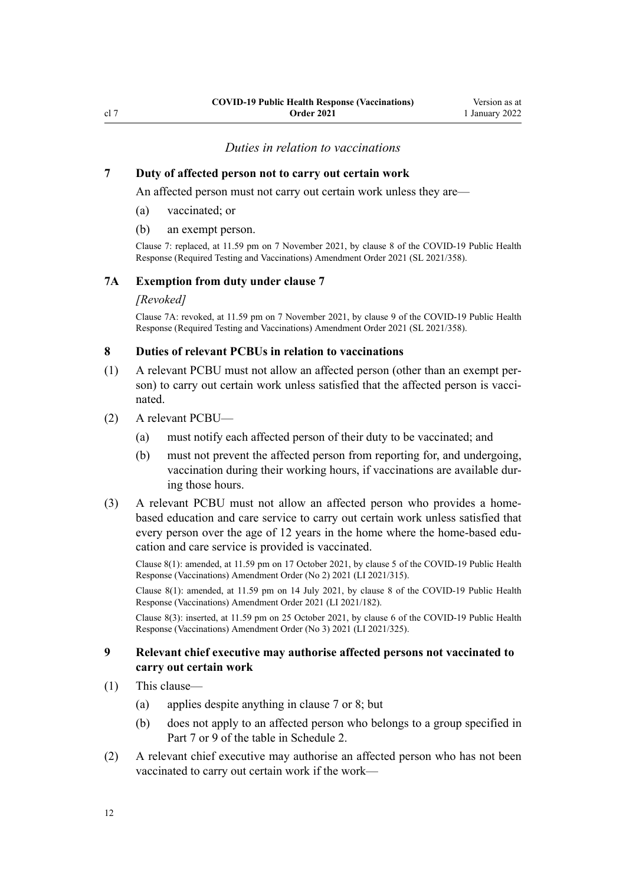<span id="page-11-0"></span>cl 7

### *Duties in relation to vaccinations*

#### **7 Duty of affected person not to carry out certain work**

An affected person must not carry out certain work unless they are—

- (a) vaccinated; or
- (b) an exempt person.

Clause 7: replaced, at 11.59 pm on 7 November 2021, by [clause 8](http://legislation.govt.nz/pdflink.aspx?id=LMS592001) of the COVID-19 Public Health Response (Required Testing and Vaccinations) Amendment Order 2021 (SL 2021/358).

### **7A Exemption from duty under clause 7**

#### *[Revoked]*

Clause 7A: revoked, at 11.59 pm on 7 November 2021, by [clause 9](http://legislation.govt.nz/pdflink.aspx?id=LMS592002) of the COVID-19 Public Health Response (Required Testing and Vaccinations) Amendment Order 2021 (SL 2021/358).

### **8 Duties of relevant PCBUs in relation to vaccinations**

- (1) A relevant PCBU must not allow an affected person (other than an exempt per‐ son) to carry out certain work unless satisfied that the affected person is vaccinated.
- (2) A relevant PCBU—
	- (a) must notify each affected person of their duty to be vaccinated; and
	- (b) must not prevent the affected person from reporting for, and undergoing, vaccination during their working hours, if vaccinations are available dur‐ ing those hours.
- (3) A relevant PCBU must not allow an affected person who provides a homebased education and care service to carry out certain work unless satisfied that every person over the age of 12 years in the home where the home-based education and care service is provided is vaccinated.

Clause 8(1): amended, at 11.59 pm on 17 October 2021, by [clause 5](http://legislation.govt.nz/pdflink.aspx?id=LMS571559) of the COVID-19 Public Health Response (Vaccinations) Amendment Order (No 2) 2021 (LI 2021/315).

Clause 8(1): amended, at 11.59 pm on 14 July 2021, by [clause 8](http://legislation.govt.nz/pdflink.aspx?id=LMS519336) of the COVID-19 Public Health Response (Vaccinations) Amendment Order 2021 (LI 2021/182).

Clause 8(3): inserted, at 11.59 pm on 25 October 2021, by [clause 6](http://legislation.govt.nz/pdflink.aspx?id=LMS579364) of the COVID-19 Public Health Response (Vaccinations) Amendment Order (No 3) 2021 (LI 2021/325).

### **9 Relevant chief executive may authorise affected persons not vaccinated to carry out certain work**

- (1) This clause—
	- (a) applies despite anything in clause 7 or 8; but
	- (b) does not apply to an affected person who belongs to a group specified in Part 7 or 9 of the table in [Schedule 2.](#page-31-0)
- (2) A relevant chief executive may authorise an affected person who has not been vaccinated to carry out certain work if the work—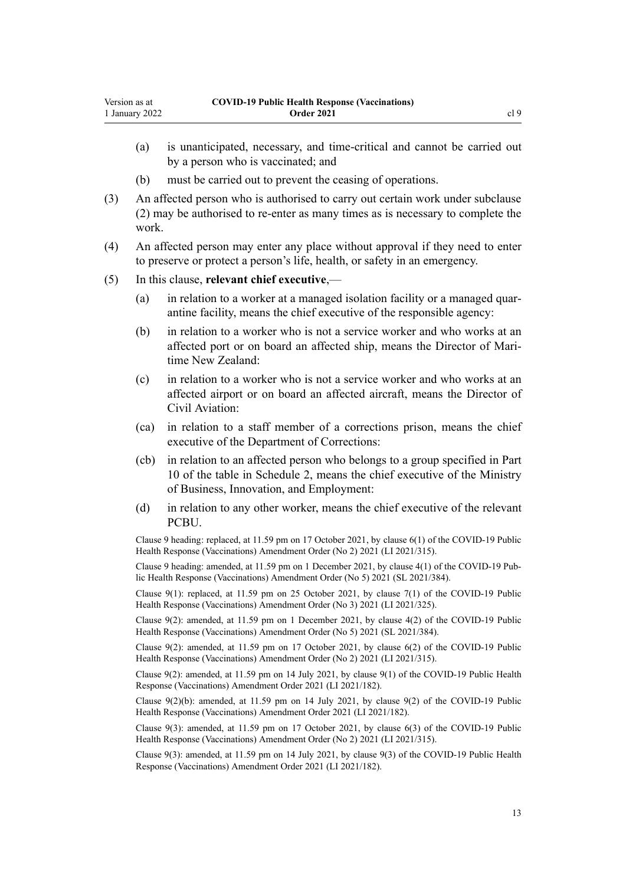- (a) is unanticipated, necessary, and time-critical and cannot be carried out by a person who is vaccinated; and
- (b) must be carried out to prevent the ceasing of operations.
- (3) An affected person who is authorised to carry out certain work under subclause (2) may be authorised to re-enter as many times as is necessary to complete the work.
- (4) An affected person may enter any place without approval if they need to enter to preserve or protect a person's life, health, or safety in an emergency.
- (5) In this clause, **relevant chief executive**,—
	- (a) in relation to a worker at a managed isolation facility or a managed quar‐ antine facility, means the chief executive of the responsible agency:
	- (b) in relation to a worker who is not a service worker and who works at an affected port or on board an affected ship, means the Director of Mari‐ time New Zealand:
	- (c) in relation to a worker who is not a service worker and who works at an affected airport or on board an affected aircraft, means the Director of Civil Aviation:
	- (ca) in relation to a staff member of a corrections prison, means the chief executive of the Department of Corrections:
	- (cb) in relation to an affected person who belongs to a group specified in Part 10 of the table in [Schedule 2,](#page-31-0) means the chief executive of the Ministry of Business, Innovation, and Employment:
	- (d) in relation to any other worker, means the chief executive of the relevant PCBU.

Clause 9 heading: replaced, at 11.59 pm on 17 October 2021, by [clause 6\(1\)](http://legislation.govt.nz/pdflink.aspx?id=LMS571560) of the COVID-19 Public Health Response (Vaccinations) Amendment Order (No 2) 2021 (LI 2021/315).

Clause 9 heading: amended, at 11.59 pm on 1 December 2021, by [clause 4\(1\)](http://legislation.govt.nz/pdflink.aspx?id=LMS608450) of the COVID-19 Pub‐ lic Health Response (Vaccinations) Amendment Order (No 5) 2021 (SL 2021/384).

Clause 9(1): replaced, at 11.59 pm on 25 October 2021, by [clause 7\(1\)](http://legislation.govt.nz/pdflink.aspx?id=LMS579365) of the COVID-19 Public Health Response (Vaccinations) Amendment Order (No 3) 2021 (LI 2021/325).

Clause 9(2): amended, at 11.59 pm on 1 December 2021, by [clause 4\(2\)](http://legislation.govt.nz/pdflink.aspx?id=LMS608450) of the COVID-19 Public Health Response (Vaccinations) Amendment Order (No 5) 2021 (SL 2021/384).

Clause 9(2): amended, at 11.59 pm on 17 October 2021, by [clause 6\(2\)](http://legislation.govt.nz/pdflink.aspx?id=LMS571560) of the COVID-19 Public Health Response (Vaccinations) Amendment Order (No 2) 2021 (LI 2021/315).

Clause 9(2): amended, at 11.59 pm on 14 July 2021, by [clause 9\(1\)](http://legislation.govt.nz/pdflink.aspx?id=LMS519338) of the COVID-19 Public Health Response (Vaccinations) Amendment Order 2021 (LI 2021/182).

Clause 9(2)(b): amended, at 11.59 pm on 14 July 2021, by [clause 9\(2\)](http://legislation.govt.nz/pdflink.aspx?id=LMS519338) of the COVID-19 Public Health Response (Vaccinations) Amendment Order 2021 (LI 2021/182).

Clause 9(3): amended, at 11.59 pm on 17 October 2021, by [clause 6\(3\)](http://legislation.govt.nz/pdflink.aspx?id=LMS571560) of the COVID-19 Public Health Response (Vaccinations) Amendment Order (No 2) 2021 (LI 2021/315).

Clause 9(3): amended, at 11.59 pm on 14 July 2021, by [clause 9\(3\)](http://legislation.govt.nz/pdflink.aspx?id=LMS519338) of the COVID-19 Public Health Response (Vaccinations) Amendment Order 2021 (LI 2021/182).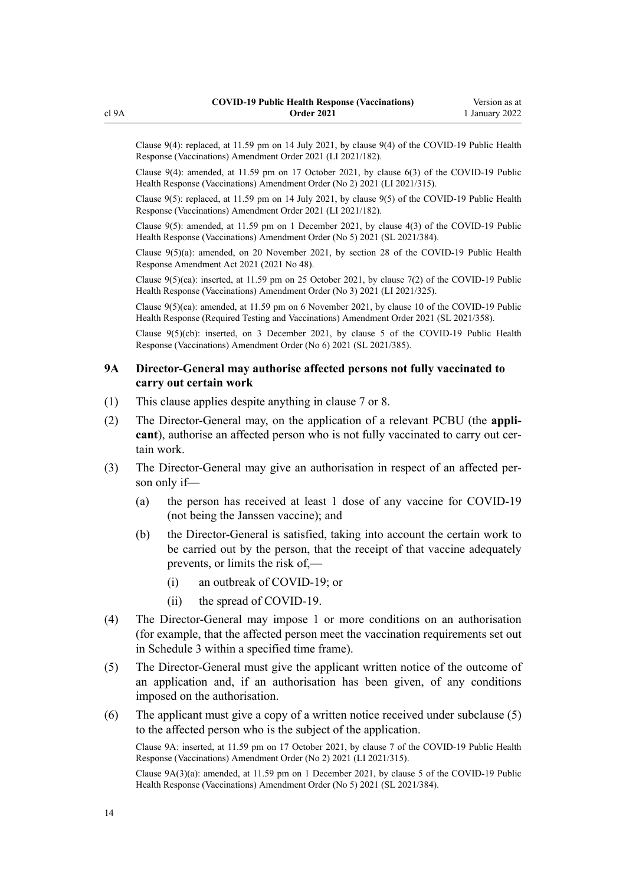<span id="page-13-0"></span>Clause 9(4): replaced, at 11.59 pm on 14 July 2021, by [clause 9\(4\)](http://legislation.govt.nz/pdflink.aspx?id=LMS519338) of the COVID-19 Public Health Response (Vaccinations) Amendment Order 2021 (LI 2021/182).

Clause 9(4): amended, at 11.59 pm on 17 October 2021, by [clause 6\(3\)](http://legislation.govt.nz/pdflink.aspx?id=LMS571560) of the COVID-19 Public Health Response (Vaccinations) Amendment Order (No 2) 2021 (LI 2021/315).

Clause 9(5): replaced, at 11.59 pm on 14 July 2021, by [clause 9\(5\)](http://legislation.govt.nz/pdflink.aspx?id=LMS519338) of the COVID-19 Public Health Response (Vaccinations) Amendment Order 2021 (LI 2021/182).

Clause 9(5): amended, at 11.59 pm on 1 December 2021, by [clause 4\(3\)](http://legislation.govt.nz/pdflink.aspx?id=LMS608450) of the COVID-19 Public Health Response (Vaccinations) Amendment Order (No 5) 2021 (SL 2021/384).

Clause 9(5)(a): amended, on 20 November 2021, by [section 28](http://legislation.govt.nz/pdflink.aspx?id=LMS576247) of the COVID-19 Public Health Response Amendment Act 2021 (2021 No 48).

Clause 9(5)(ca): inserted, at 11.59 pm on 25 October 2021, by [clause 7\(2\)](http://legislation.govt.nz/pdflink.aspx?id=LMS579365) of the COVID-19 Public Health Response (Vaccinations) Amendment Order (No 3) 2021 (LI 2021/325).

Clause 9(5)(ca): amended, at 11.59 pm on 6 November 2021, by [clause 10](http://legislation.govt.nz/pdflink.aspx?id=LMS592003) of the COVID-19 Public Health Response (Required Testing and Vaccinations) Amendment Order 2021 (SL 2021/358).

Clause 9(5)(cb): inserted, on 3 December 2021, by [clause 5](http://legislation.govt.nz/pdflink.aspx?id=LMS609400) of the COVID-19 Public Health Response (Vaccinations) Amendment Order (No 6) 2021 (SL 2021/385).

### **9A Director-General may authorise affected persons not fully vaccinated to carry out certain work**

- (1) This clause applies despite anything in [clause 7](#page-11-0) or [8](#page-11-0).
- (2) The Director-General may, on the application of a relevant PCBU (the **appli‐** cant), authorise an affected person who is not fully vaccinated to carry out certain work.
- (3) The Director-General may give an authorisation in respect of an affected per‐ son only if—
	- (a) the person has received at least 1 dose of any vaccine for COVID-19 (not being the Janssen vaccine); and
	- (b) the Director-General is satisfied, taking into account the certain work to be carried out by the person, that the receipt of that vaccine adequately prevents, or limits the risk of,—
		- (i) an outbreak of COVID-19; or
		- (ii) the spread of COVID-19.
- (4) The Director-General may impose 1 or more conditions on an authorisation (for example, that the affected person meet the vaccination requirements set out in [Schedule 3](#page-34-0) within a specified time frame).
- (5) The Director-General must give the applicant written notice of the outcome of an application and, if an authorisation has been given, of any conditions imposed on the authorisation.
- (6) The applicant must give a copy of a written notice received under subclause (5) to the affected person who is the subject of the application.

Clause 9A: inserted, at 11.59 pm on 17 October 2021, by [clause 7](http://legislation.govt.nz/pdflink.aspx?id=LMS571563) of the COVID-19 Public Health Response (Vaccinations) Amendment Order (No 2) 2021 (LI 2021/315).

Clause 9A(3)(a): amended, at 11.59 pm on 1 December 2021, by [clause 5](http://legislation.govt.nz/pdflink.aspx?id=LMS608451) of the COVID-19 Public Health Response (Vaccinations) Amendment Order (No 5) 2021 (SL 2021/384).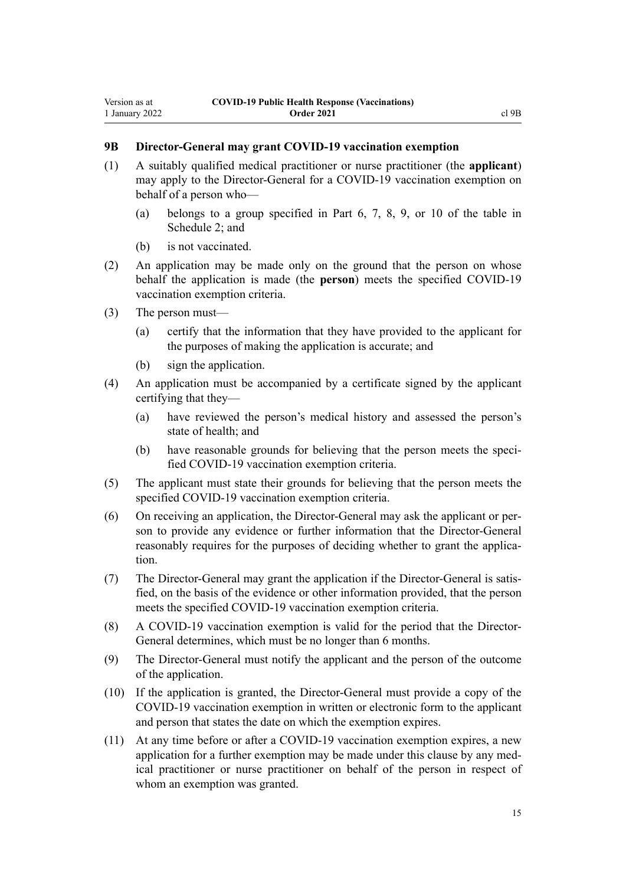### <span id="page-14-0"></span>**9B Director-General may grant COVID-19 vaccination exemption**

- (1) A suitably qualified medical practitioner or nurse practitioner (the **applicant**) may apply to the Director-General for a COVID-19 vaccination exemption on behalf of a person who—
	- (a) belongs to a group specified in Part 6, 7, 8, 9, or 10 of the table in [Schedule 2;](#page-31-0) and
	- (b) is not vaccinated.
- (2) An application may be made only on the ground that the person on whose behalf the application is made (the **person**) meets the specified COVID-19 vaccination exemption criteria.
- (3) The person must—
	- (a) certify that the information that they have provided to the applicant for the purposes of making the application is accurate; and
	- (b) sign the application.
- (4) An application must be accompanied by a certificate signed by the applicant certifying that they—
	- (a) have reviewed the person's medical history and assessed the person's state of health; and
	- (b) have reasonable grounds for believing that the person meets the speci‐ fied COVID-19 vaccination exemption criteria.
- (5) The applicant must state their grounds for believing that the person meets the specified COVID-19 vaccination exemption criteria.
- (6) On receiving an application, the Director-General may ask the applicant or per‐ son to provide any evidence or further information that the Director-General reasonably requires for the purposes of deciding whether to grant the application.
- (7) The Director-General may grant the application if the Director-General is satis‐ fied, on the basis of the evidence or other information provided, that the person meets the specified COVID-19 vaccination exemption criteria.
- (8) A COVID-19 vaccination exemption is valid for the period that the Director-General determines, which must be no longer than 6 months.
- (9) The Director-General must notify the applicant and the person of the outcome of the application.
- (10) If the application is granted, the Director-General must provide a copy of the COVID-19 vaccination exemption in written or electronic form to the applicant and person that states the date on which the exemption expires.
- (11) At any time before or after a COVID-19 vaccination exemption expires, a new application for a further exemption may be made under this clause by any medical practitioner or nurse practitioner on behalf of the person in respect of whom an exemption was granted.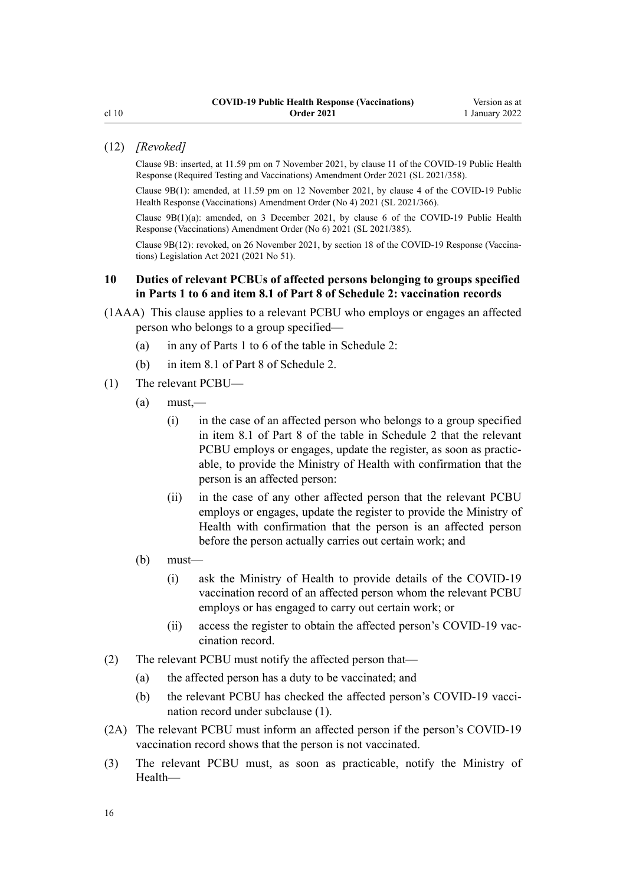### <span id="page-15-0"></span>(12) *[Revoked]*

Clause 9B: inserted, at 11.59 pm on 7 November 2021, by [clause 11](http://legislation.govt.nz/pdflink.aspx?id=LMS592008) of the COVID-19 Public Health Response (Required Testing and Vaccinations) Amendment Order 2021 (SL 2021/358).

Clause 9B(1): amended, at 11.59 pm on 12 November 2021, by [clause 4](http://legislation.govt.nz/pdflink.aspx?id=LMS596597) of the COVID-19 Public Health Response (Vaccinations) Amendment Order (No 4) 2021 (SL 2021/366).

Clause  $9B(1)(a)$ : amended, on 3 December 2021, by [clause 6](http://legislation.govt.nz/pdflink.aspx?id=LMS609401) of the COVID-19 Public Health Response (Vaccinations) Amendment Order (No 6) 2021 (SL 2021/385).

Clause 9B(12): revoked, on 26 November 2021, by [section 18](http://legislation.govt.nz/pdflink.aspx?id=LMS603438) of the COVID-19 Response (Vaccina‐ tions) Legislation Act 2021 (2021 No 51).

### **10 Duties of relevant PCBUs of affected persons belonging to groups specified in Parts 1 to 6 and item 8.1 of Part 8 of Schedule 2: vaccination records**

- (1AAA) This clause applies to a relevant PCBU who employs or engages an affected person who belongs to a group specified—
	- (a) in any of Parts 1 to 6 of the table in [Schedule 2](#page-31-0):
	- (b) in item 8.1 of Part 8 of [Schedule 2](#page-31-0).
- (1) The relevant PCBU—
	- $(a)$  must,—
		- (i) in the case of an affected person who belongs to a group specified in item 8.1 of Part 8 of the table in [Schedule 2](#page-31-0) that the relevant PCBU employs or engages, update the register, as soon as practicable, to provide the Ministry of Health with confirmation that the person is an affected person:
		- (ii) in the case of any other affected person that the relevant PCBU employs or engages, update the register to provide the Ministry of Health with confirmation that the person is an affected person before the person actually carries out certain work; and
	- (b) must—
		- (i) ask the Ministry of Health to provide details of the COVID-19 vaccination record of an affected person whom the relevant PCBU employs or has engaged to carry out certain work; or
		- (ii) access the register to obtain the affected person's COVID-19 vaccination record.
- (2) The relevant PCBU must notify the affected person that—
	- (a) the affected person has a duty to be vaccinated; and
	- (b) the relevant PCBU has checked the affected person's COVID-19 vaccination record under subclause (1).
- (2A) The relevant PCBU must inform an affected person if the person's COVID-19 vaccination record shows that the person is not vaccinated.
- (3) The relevant PCBU must, as soon as practicable, notify the Ministry of Health—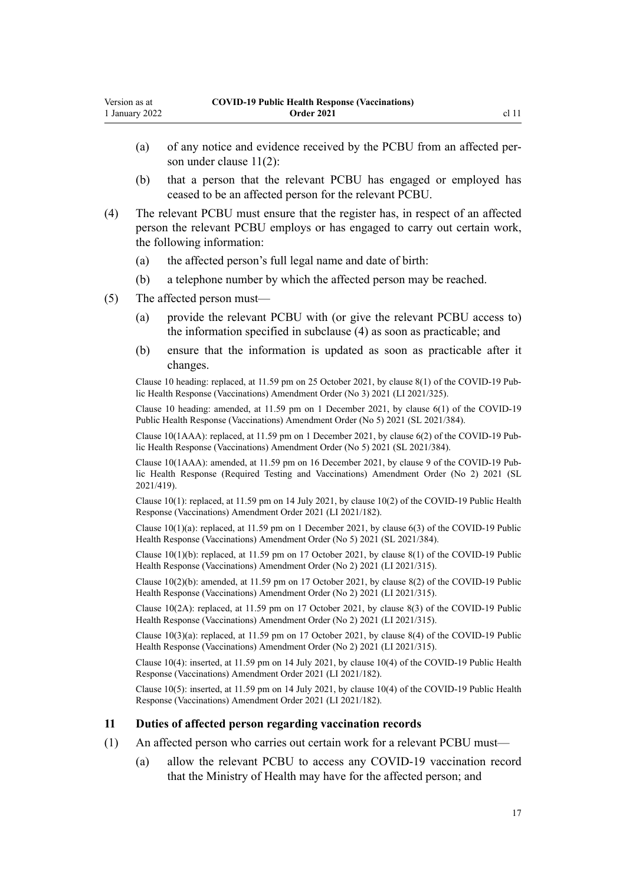- <span id="page-16-0"></span>(a) of any notice and evidence received by the PCBU from an affected per‐ son under clause 11(2):
- (b) that a person that the relevant PCBU has engaged or employed has ceased to be an affected person for the relevant PCBU.
- (4) The relevant PCBU must ensure that the register has, in respect of an affected person the relevant PCBU employs or has engaged to carry out certain work, the following information:
	- (a) the affected person's full legal name and date of birth:
	- (b) a telephone number by which the affected person may be reached.
- (5) The affected person must—
	- (a) provide the relevant PCBU with (or give the relevant PCBU access to) the information specified in subclause (4) as soon as practicable; and
	- (b) ensure that the information is updated as soon as practicable after it changes.

Clause 10 heading: replaced, at 11.59 pm on 25 October 2021, by [clause 8\(1\)](http://legislation.govt.nz/pdflink.aspx?id=LMS579366) of the COVID-19 Pub‐ lic Health Response (Vaccinations) Amendment Order (No 3) 2021 (LI 2021/325).

Clause 10 heading: amended, at 11.59 pm on 1 December 2021, by [clause 6\(1\)](http://legislation.govt.nz/pdflink.aspx?id=LMS608452) of the COVID-19 Public Health Response (Vaccinations) Amendment Order (No 5) 2021 (SL 2021/384).

Clause 10(1AAA): replaced, at 11.59 pm on 1 December 2021, by [clause 6\(2\)](http://legislation.govt.nz/pdflink.aspx?id=LMS608452) of the COVID-19 Pub‐ lic Health Response (Vaccinations) Amendment Order (No 5) 2021 (SL 2021/384).

Clause 10(1AAA): amended, at 11.59 pm on 16 December 2021, by [clause 9](http://legislation.govt.nz/pdflink.aspx?id=LMS618034) of the COVID-19 Pub‐ lic Health Response (Required Testing and Vaccinations) Amendment Order (No 2) 2021 (SL 2021/419).

Clause 10(1): replaced, at 11.59 pm on 14 July 2021, by [clause 10\(2\)](http://legislation.govt.nz/pdflink.aspx?id=LMS519339) of the COVID-19 Public Health Response (Vaccinations) Amendment Order 2021 (LI 2021/182).

Clause 10(1)(a): replaced, at 11.59 pm on 1 December 2021, by [clause 6\(3\)](http://legislation.govt.nz/pdflink.aspx?id=LMS608452) of the COVID-19 Public Health Response (Vaccinations) Amendment Order (No 5) 2021 (SL 2021/384).

Clause  $10(1)(b)$ : replaced, at 11.59 pm on 17 October 2021, by [clause 8\(1\)](http://legislation.govt.nz/pdflink.aspx?id=LMS571564) of the COVID-19 Public Health Response (Vaccinations) Amendment Order (No 2) 2021 (LI 2021/315).

Clause 10(2)(b): amended, at 11.59 pm on 17 October 2021, by [clause 8\(2\)](http://legislation.govt.nz/pdflink.aspx?id=LMS571564) of the COVID-19 Public Health Response (Vaccinations) Amendment Order (No 2) 2021 (LI 2021/315).

Clause 10(2A): replaced, at 11.59 pm on 17 October 2021, by [clause 8\(3\)](http://legislation.govt.nz/pdflink.aspx?id=LMS571564) of the COVID-19 Public Health Response (Vaccinations) Amendment Order (No 2) 2021 (LI 2021/315).

Clause 10(3)(a): replaced, at 11.59 pm on 17 October 2021, by [clause 8\(4\)](http://legislation.govt.nz/pdflink.aspx?id=LMS571564) of the COVID-19 Public Health Response (Vaccinations) Amendment Order (No 2) 2021 (LI 2021/315).

Clause 10(4): inserted, at 11.59 pm on 14 July 2021, by [clause 10\(4\)](http://legislation.govt.nz/pdflink.aspx?id=LMS519339) of the COVID-19 Public Health Response (Vaccinations) Amendment Order 2021 (LI 2021/182).

Clause 10(5): inserted, at 11.59 pm on 14 July 2021, by [clause 10\(4\)](http://legislation.govt.nz/pdflink.aspx?id=LMS519339) of the COVID-19 Public Health Response (Vaccinations) Amendment Order 2021 (LI 2021/182).

### **11 Duties of affected person regarding vaccination records**

- (1) An affected person who carries out certain work for a relevant PCBU must—
	- (a) allow the relevant PCBU to access any COVID-19 vaccination record that the Ministry of Health may have for the affected person; and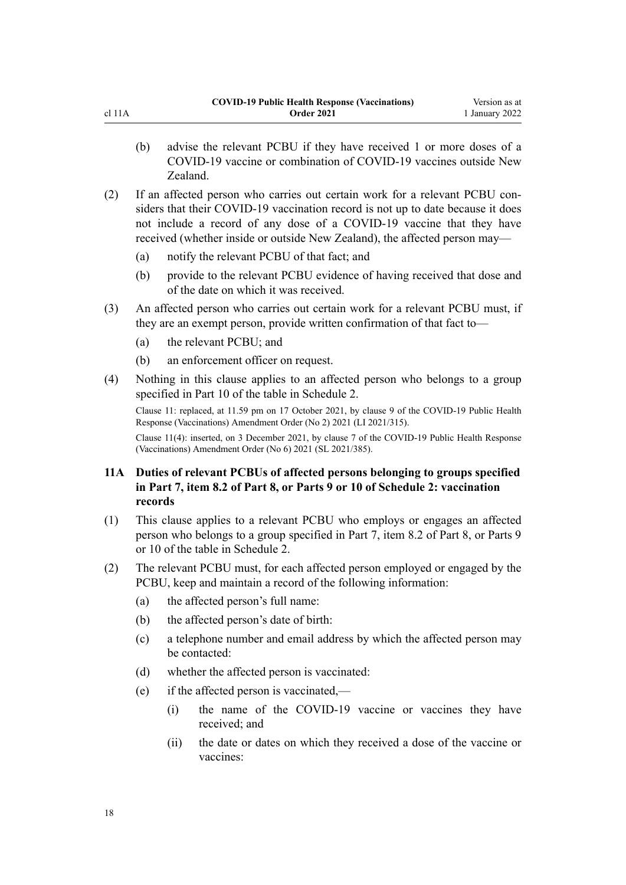- <span id="page-17-0"></span>(b) advise the relevant PCBU if they have received 1 or more doses of a COVID-19 vaccine or combination of COVID-19 vaccines outside New Zealand.
- (2) If an affected person who carries out certain work for a relevant PCBU con‐ siders that their COVID-19 vaccination record is not up to date because it does not include a record of any dose of a COVID-19 vaccine that they have received (whether inside or outside New Zealand), the affected person may—
	- (a) notify the relevant PCBU of that fact; and
	- (b) provide to the relevant PCBU evidence of having received that dose and of the date on which it was received.
- (3) An affected person who carries out certain work for a relevant PCBU must, if they are an exempt person, provide written confirmation of that fact to—
	- (a) the relevant PCBU; and
	- (b) an enforcement officer on request.
- (4) Nothing in this clause applies to an affected person who belongs to a group specified in Part 10 of the table in [Schedule 2](#page-31-0).

Clause 11: replaced, at 11.59 pm on 17 October 2021, by [clause 9](http://legislation.govt.nz/pdflink.aspx?id=LMS571566) of the COVID-19 Public Health Response (Vaccinations) Amendment Order (No 2) 2021 (LI 2021/315).

Clause 11(4): inserted, on 3 December 2021, by [clause 7](http://legislation.govt.nz/pdflink.aspx?id=LMS609402) of the COVID-19 Public Health Response (Vaccinations) Amendment Order (No 6) 2021 (SL 2021/385).

### **11A Duties of relevant PCBUs of affected persons belonging to groups specified in Part 7, item 8.2 of Part 8, or Parts 9 or 10 of Schedule 2: vaccination records**

- (1) This clause applies to a relevant PCBU who employs or engages an affected person who belongs to a group specified in Part 7, item 8.2 of Part 8, or Parts 9 or 10 of the table in [Schedule 2](#page-31-0).
- (2) The relevant PCBU must, for each affected person employed or engaged by the PCBU, keep and maintain a record of the following information:
	- (a) the affected person's full name:
	- (b) the affected person's date of birth:
	- (c) a telephone number and email address by which the affected person may be contacted:
	- (d) whether the affected person is vaccinated:
	- (e) if the affected person is vaccinated,—
		- (i) the name of the COVID-19 vaccine or vaccines they have received; and
		- (ii) the date or dates on which they received a dose of the vaccine or vaccines: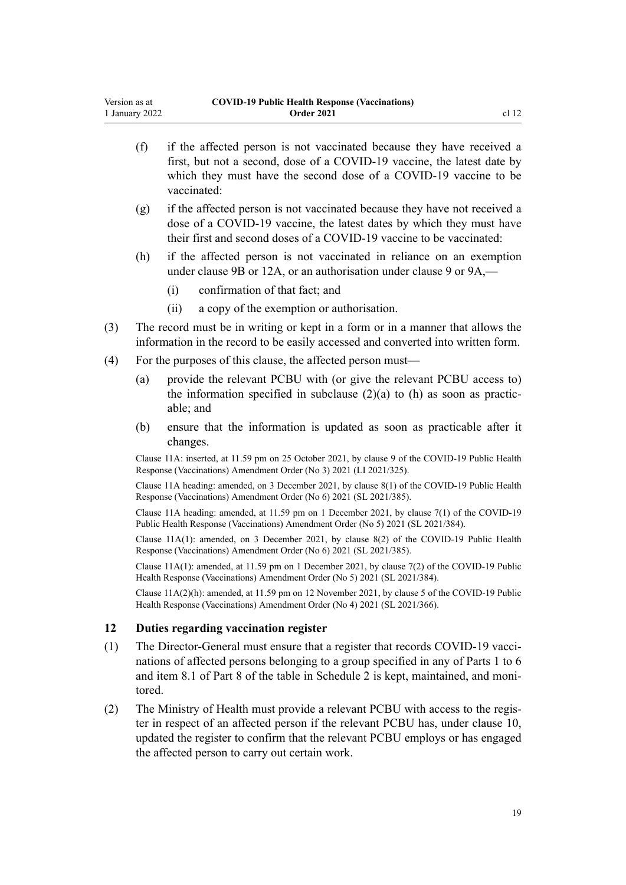- <span id="page-18-0"></span>(f) if the affected person is not vaccinated because they have received a first, but not a second, dose of a COVID-19 vaccine, the latest date by which they must have the second dose of a COVID-19 vaccine to be vaccinated:
- (g) if the affected person is not vaccinated because they have not received a dose of a COVID-19 vaccine, the latest dates by which they must have their first and second doses of a COVID-19 vaccine to be vaccinated:
- (h) if the affected person is not vaccinated in reliance on an exemption under [clause 9B](#page-14-0) or [12A](#page-19-0), or an authorisation under [clause 9](#page-11-0) or [9A](#page-13-0),—
	- (i) confirmation of that fact; and
	- (ii) a copy of the exemption or authorisation.
- (3) The record must be in writing or kept in a form or in a manner that allows the information in the record to be easily accessed and converted into written form.
- (4) For the purposes of this clause, the affected person must—
	- (a) provide the relevant PCBU with (or give the relevant PCBU access to) the information specified in subclause  $(2)(a)$  to  $(h)$  as soon as practicable; and
	- (b) ensure that the information is updated as soon as practicable after it changes.

Clause 11A: inserted, at 11.59 pm on 25 October 2021, by [clause 9](http://legislation.govt.nz/pdflink.aspx?id=LMS579368) of the COVID-19 Public Health Response (Vaccinations) Amendment Order (No 3) 2021 (LI 2021/325).

Clause 11A heading: amended, on 3 December 2021, by [clause 8\(1\)](http://legislation.govt.nz/pdflink.aspx?id=LMS609403) of the COVID-19 Public Health Response (Vaccinations) Amendment Order (No 6) 2021 (SL 2021/385).

Clause 11A heading: amended, at 11.59 pm on 1 December 2021, by [clause 7\(1\)](http://legislation.govt.nz/pdflink.aspx?id=LMS608453) of the COVID-19 Public Health Response (Vaccinations) Amendment Order (No 5) 2021 (SL 2021/384).

Clause 11A(1): amended, on 3 December 2021, by [clause 8\(2\)](http://legislation.govt.nz/pdflink.aspx?id=LMS609403) of the COVID-19 Public Health Response (Vaccinations) Amendment Order (No 6) 2021 (SL 2021/385).

Clause 11A(1): amended, at 11.59 pm on 1 December 2021, by [clause 7\(2\)](http://legislation.govt.nz/pdflink.aspx?id=LMS608453) of the COVID-19 Public Health Response (Vaccinations) Amendment Order (No 5) 2021 (SL 2021/384).

Clause 11A(2)(h): amended, at 11.59 pm on 12 November 2021, by [clause 5](http://legislation.govt.nz/pdflink.aspx?id=LMS596598) of the COVID-19 Public Health Response (Vaccinations) Amendment Order (No 4) 2021 (SL 2021/366).

#### **12 Duties regarding vaccination register**

- (1) The Director-General must ensure that a register that records COVID-19 vaccinations of affected persons belonging to a group specified in any of Parts 1 to 6 and item 8.1 of Part 8 of the table in [Schedule 2](#page-31-0) is kept, maintained, and monitored.
- (2) The Ministry of Health must provide a relevant PCBU with access to the regis‐ ter in respect of an affected person if the relevant PCBU has, under [clause 10](#page-15-0), updated the register to confirm that the relevant PCBU employs or has engaged the affected person to carry out certain work.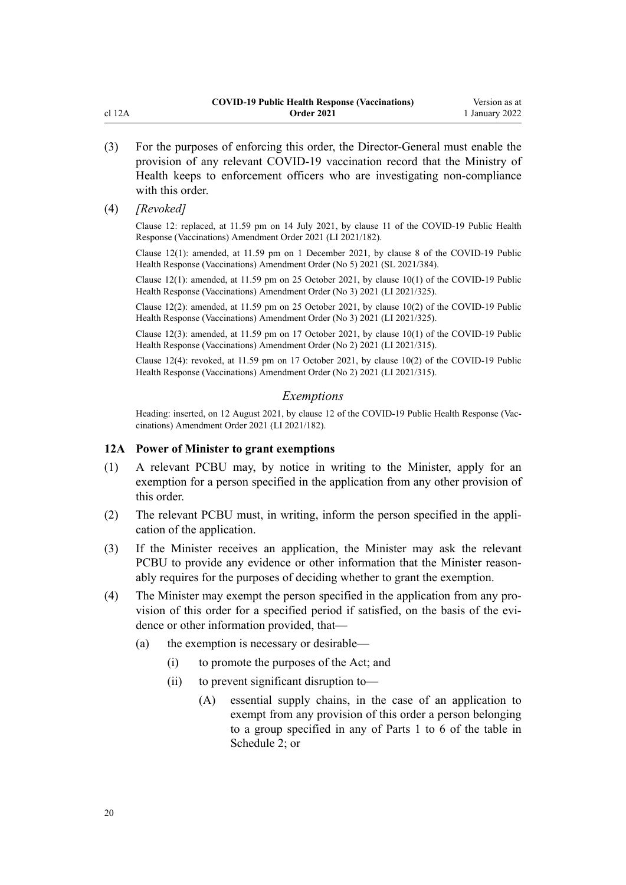- <span id="page-19-0"></span>(3) For the purposes of enforcing this order, the Director-General must enable the provision of any relevant COVID-19 vaccination record that the Ministry of Health keeps to enforcement officers who are investigating non-compliance with this order.
- (4) *[Revoked]*

Clause 12: replaced, at 11.59 pm on 14 July 2021, by [clause 11](http://legislation.govt.nz/pdflink.aspx?id=LMS519342) of the COVID-19 Public Health Response (Vaccinations) Amendment Order 2021 (LI 2021/182).

Clause 12(1): amended, at 11.59 pm on 1 December 2021, by [clause 8](http://legislation.govt.nz/pdflink.aspx?id=LMS608454) of the COVID-19 Public Health Response (Vaccinations) Amendment Order (No 5) 2021 (SL 2021/384).

Clause 12(1): amended, at 11.59 pm on 25 October 2021, by [clause 10\(1\)](http://legislation.govt.nz/pdflink.aspx?id=LMS579369) of the COVID-19 Public Health Response (Vaccinations) Amendment Order (No 3) 2021 (LI 2021/325).

Clause 12(2): amended, at 11.59 pm on 25 October 2021, by [clause 10\(2\)](http://legislation.govt.nz/pdflink.aspx?id=LMS579369) of the COVID-19 Public Health Response (Vaccinations) Amendment Order (No 3) 2021 (LI 2021/325).

Clause 12(3): amended, at 11.59 pm on 17 October 2021, by [clause 10\(1\)](http://legislation.govt.nz/pdflink.aspx?id=LMS571567) of the COVID-19 Public Health Response (Vaccinations) Amendment Order (No 2) 2021 (LI 2021/315).

Clause 12(4): revoked, at 11.59 pm on 17 October 2021, by [clause 10\(2\)](http://legislation.govt.nz/pdflink.aspx?id=LMS571567) of the COVID-19 Public Health Response (Vaccinations) Amendment Order (No 2) 2021 (LI 2021/315).

### *Exemptions*

Heading: inserted, on 12 August 2021, by [clause 12](http://legislation.govt.nz/pdflink.aspx?id=LMS519345) of the COVID-19 Public Health Response (Vaccinations) Amendment Order 2021 (LI 2021/182).

### **12A Power of Minister to grant exemptions**

- (1) A relevant PCBU may, by notice in writing to the Minister, apply for an exemption for a person specified in the application from any other provision of this order.
- (2) The relevant PCBU must, in writing, inform the person specified in the appli‐ cation of the application.
- (3) If the Minister receives an application, the Minister may ask the relevant PCBU to provide any evidence or other information that the Minister reasonably requires for the purposes of deciding whether to grant the exemption.
- (4) The Minister may exempt the person specified in the application from any pro‐ vision of this order for a specified period if satisfied, on the basis of the evidence or other information provided, that—
	- (a) the exemption is necessary or desirable—
		- (i) to promote the purposes of the Act; and
		- (ii) to prevent significant disruption to—
			- (A) essential supply chains, in the case of an application to exempt from any provision of this order a person belonging to a group specified in any of Parts 1 to 6 of the table in [Schedule 2;](#page-31-0) or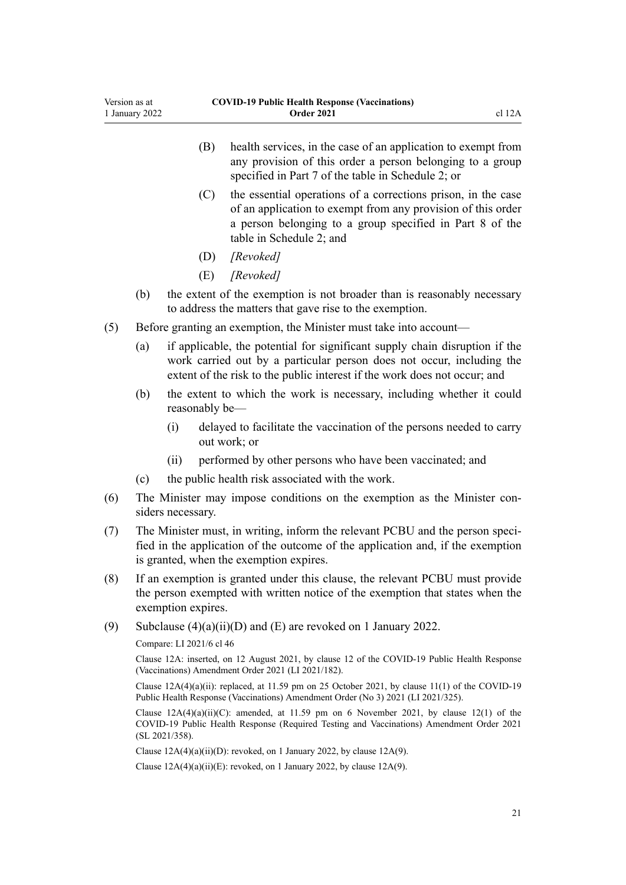- any provision of this order a person belonging to a group specified in Part 7 of the table in [Schedule 2;](#page-31-0) or
- (C) the essential operations of a corrections prison, in the case of an application to exempt from any provision of this order a person belonging to a group specified in Part 8 of the table in [Schedule 2](#page-31-0); and
- (D) *[Revoked]*
- (E) *[Revoked]*
- (b) the extent of the exemption is not broader than is reasonably necessary to address the matters that gave rise to the exemption.
- (5) Before granting an exemption, the Minister must take into account—
	- (a) if applicable, the potential for significant supply chain disruption if the work carried out by a particular person does not occur, including the extent of the risk to the public interest if the work does not occur; and
	- (b) the extent to which the work is necessary, including whether it could reasonably be—
		- (i) delayed to facilitate the vaccination of the persons needed to carry out work; or
		- (ii) performed by other persons who have been vaccinated; and
	- (c) the public health risk associated with the work.
- (6) The Minister may impose conditions on the exemption as the Minister con‐ siders necessary.
- (7) The Minister must, in writing, inform the relevant PCBU and the person speci‐ fied in the application of the outcome of the application and, if the exemption is granted, when the exemption expires.
- (8) If an exemption is granted under this clause, the relevant PCBU must provide the person exempted with written notice of the exemption that states when the exemption expires.
- (9) Subclause  $(4)(a)(ii)(D)$  and  $(E)$  are revoked on 1 January 2022.

Compare: LI 2021/6 [cl 46](http://legislation.govt.nz/pdflink.aspx?id=LMS451847)

Clause 12A: inserted, on 12 August 2021, by [clause 12](http://legislation.govt.nz/pdflink.aspx?id=LMS519345) of the COVID-19 Public Health Response (Vaccinations) Amendment Order 2021 (LI 2021/182).

Clause 12A(4)(a)(ii): replaced, at 11.59 pm on 25 October 2021, by [clause 11\(1\)](http://legislation.govt.nz/pdflink.aspx?id=LMS579370) of the COVID-19 Public Health Response (Vaccinations) Amendment Order (No 3) 2021 (LI 2021/325).

Clause  $12A(4)(a)(ii)(C)$ : amended, at 11.59 pm on 6 November 2021, by [clause 12\(1\)](http://legislation.govt.nz/pdflink.aspx?id=LMS592009) of the COVID-19 Public Health Response (Required Testing and Vaccinations) Amendment Order 2021 (SL 2021/358).

Clause  $12A(4)(a)(ii)(D)$ : revoked, on 1 January 2022, by clause  $12A(9)$ .

Clause  $12A(4)(a)(ii)(E)$ : revoked, on 1 January 2022, by clause  $12A(9)$ .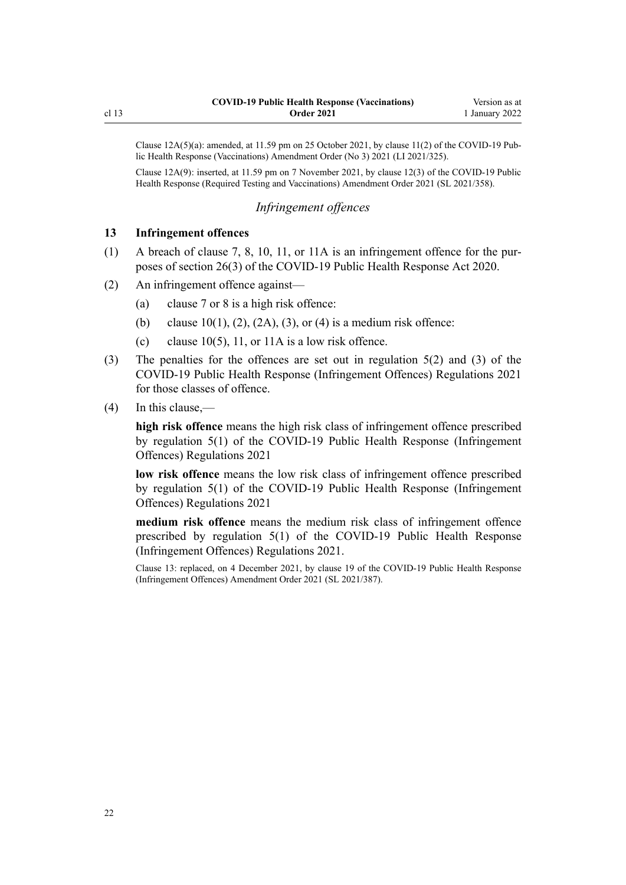<span id="page-21-0"></span>Clause  $12A(5)(a)$ : amended, at  $11.59$  pm on 25 October 2021, by clause  $11(2)$  of the COVID-19 Public Health Response (Vaccinations) Amendment Order (No 3) 2021 (LI 2021/325).

Clause 12A(9): inserted, at 11.59 pm on 7 November 2021, by [clause 12\(3\)](http://legislation.govt.nz/pdflink.aspx?id=LMS592009) of the COVID-19 Public Health Response (Required Testing and Vaccinations) Amendment Order 2021 (SL 2021/358).

### *Infringement offences*

### **13 Infringement offences**

- (1) A breach of [clause 7](#page-11-0), [8](#page-11-0), [10](#page-15-0), [11,](#page-16-0) or [11A](#page-17-0) is an infringement offence for the pur‐ poses of [section 26\(3\)](http://legislation.govt.nz/pdflink.aspx?id=LMS344200) of the COVID-19 Public Health Response Act 2020.
- (2) An infringement offence against—
	- (a) [clause 7](#page-11-0) or [8](#page-11-0) is a high risk offence:
	- (b) [clause 10\(1\), \(2\), \(2A\), \(3\), or \(4\)](#page-15-0) is a medium risk offence:
	- (c) clause  $10(5)$ , [11,](#page-16-0) or [11A](#page-17-0) is a low risk offence.
- (3) The penalties for the offences are set out in [regulation 5\(2\) and \(3\)](http://legislation.govt.nz/pdflink.aspx?id=LMS600713) of the COVID-19 Public Health Response (Infringement Offences) Regulations 2021 for those classes of offence.
- (4) In this clause,—

**high risk offence** means the high risk class of infringement offence prescribed by [regulation 5\(1\)](http://legislation.govt.nz/pdflink.aspx?id=LMS600713) of the COVID-19 Public Health Response (Infringement Offences) Regulations 2021

**low risk offence** means the low risk class of infringement offence prescribed by [regulation 5\(1\)](http://legislation.govt.nz/pdflink.aspx?id=LMS600713) of the COVID-19 Public Health Response (Infringement Offences) Regulations 2021

**medium risk offence** means the medium risk class of infringement offence prescribed by [regulation 5\(1\)](http://legislation.govt.nz/pdflink.aspx?id=LMS600713) of the COVID-19 Public Health Response (Infringement Offences) Regulations 2021.

Clause 13: replaced, on 4 December 2021, by [clause 19](http://legislation.govt.nz/pdflink.aspx?id=LMS610266) of the COVID-19 Public Health Response (Infringement Offences) Amendment Order 2021 (SL 2021/387).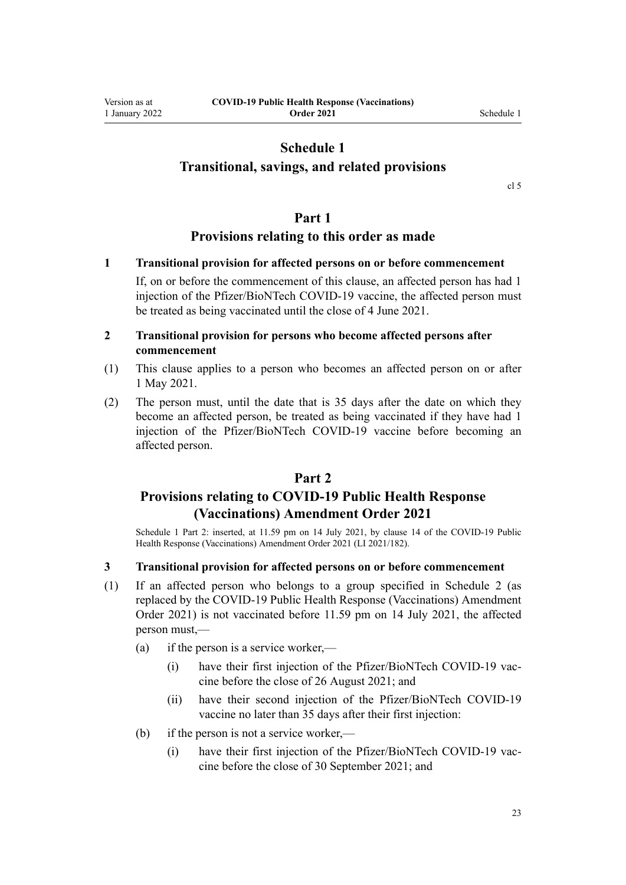### **Schedule 1**

### <span id="page-22-0"></span>**Transitional, savings, and related provisions**

[cl 5](#page-10-0)

### **Part 1**

### **Provisions relating to this order as made**

### **1 Transitional provision for affected persons on or before commencement**

If, on or before the commencement of this clause, an affected person has had 1 injection of the Pfizer/BioNTech COVID-19 vaccine, the affected person must be treated as being vaccinated until the close of 4 June 2021.

### **2 Transitional provision for persons who become affected persons after commencement**

- (1) This clause applies to a person who becomes an affected person on or after 1 May 2021.
- (2) The person must, until the date that is 35 days after the date on which they become an affected person, be treated as being vaccinated if they have had 1 injection of the Pfizer/BioNTech COVID-19 vaccine before becoming an affected person.

### **Part 2**

### **Provisions relating to COVID-19 Public Health Response (Vaccinations) Amendment Order 2021**

Schedule 1 Part 2: inserted, at 11.59 pm on 14 July 2021, by [clause 14](http://legislation.govt.nz/pdflink.aspx?id=LMS519347) of the COVID-19 Public Health Response (Vaccinations) Amendment Order 2021 (LI 2021/182).

### **3 Transitional provision for affected persons on or before commencement**

- (1) If an affected person who belongs to a group specified in [Schedule 2](#page-31-0) (as replaced by the [COVID-19 Public Health Response \(Vaccinations\) Amendment](http://legislation.govt.nz/pdflink.aspx?id=LMS519281) [Order 2021](http://legislation.govt.nz/pdflink.aspx?id=LMS519281)) is not vaccinated before 11.59 pm on 14 July 2021, the affected person must,—
	- (a) if the person is a service worker,—
		- (i) have their first injection of the Pfizer/BioNTech COVID-19 vaccine before the close of 26 August 2021; and
		- (ii) have their second injection of the Pfizer/BioNTech COVID-19 vaccine no later than 35 days after their first injection:
	- (b) if the person is not a service worker,—
		- (i) have their first injection of the Pfizer/BioNTech COVID-19 vaccine before the close of 30 September 2021; and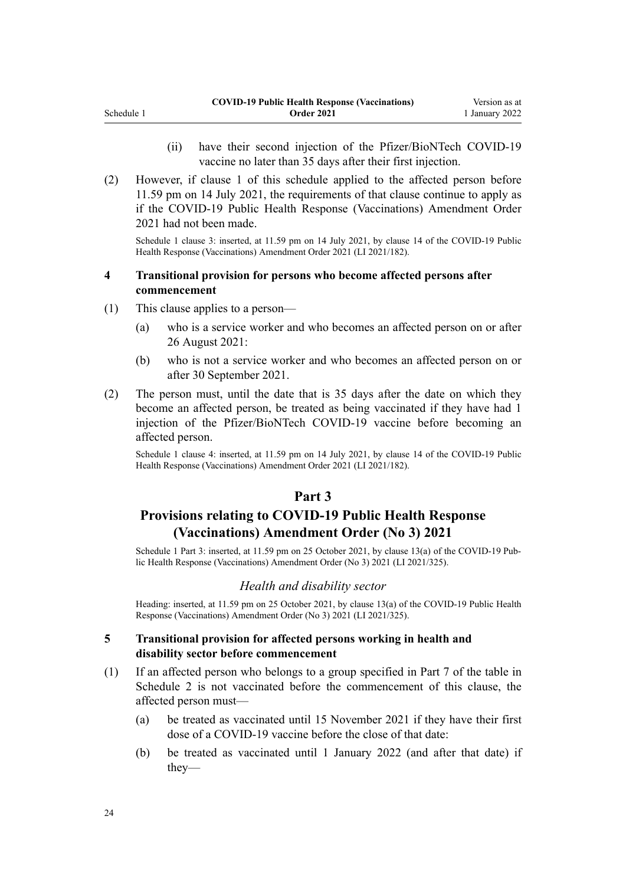- (ii) have their second injection of the Pfizer/BioNTech COVID-19 vaccine no later than 35 days after their first injection.
- (2) However, if [clause 1](#page-22-0) of this schedule applied to the affected person before 11.59 pm on 14 July 2021, the requirements of that clause continue to apply as if the [COVID-19 Public Health Response \(Vaccinations\) Amendment Order](http://legislation.govt.nz/pdflink.aspx?id=LMS519281) [2021](http://legislation.govt.nz/pdflink.aspx?id=LMS519281) had not been made.

Schedule 1 clause 3: inserted, at 11.59 pm on 14 July 2021, by [clause 14](http://legislation.govt.nz/pdflink.aspx?id=LMS519347) of the COVID-19 Public Health Response (Vaccinations) Amendment Order 2021 (LI 2021/182).

### **4 Transitional provision for persons who become affected persons after commencement**

- (1) This clause applies to a person—
	- (a) who is a service worker and who becomes an affected person on or after 26 August 2021:
	- (b) who is not a service worker and who becomes an affected person on or after 30 September 2021.
- (2) The person must, until the date that is 35 days after the date on which they become an affected person, be treated as being vaccinated if they have had 1 injection of the Pfizer/BioNTech COVID-19 vaccine before becoming an affected person.

Schedule 1 clause 4: inserted, at 11.59 pm on 14 July 2021, by [clause 14](http://legislation.govt.nz/pdflink.aspx?id=LMS519347) of the COVID-19 Public Health Response (Vaccinations) Amendment Order 2021 (LI 2021/182).

### **Part 3**

### **Provisions relating to COVID-19 Public Health Response (Vaccinations) Amendment Order (No 3) 2021**

Schedule 1 Part 3: inserted, at 11.59 pm on 25 October 2021, by [clause 13\(a\)](http://legislation.govt.nz/pdflink.aspx?id=LMS579372) of the COVID-19 Pub‐ lic Health Response (Vaccinations) Amendment Order (No 3) 2021 (LI 2021/325).

### *Health and disability sector*

Heading: inserted, at 11.59 pm on 25 October 2021, by [clause 13\(a\)](http://legislation.govt.nz/pdflink.aspx?id=LMS579372) of the COVID-19 Public Health Response (Vaccinations) Amendment Order (No 3) 2021 (LI 2021/325).

### **5 Transitional provision for affected persons working in health and disability sector before commencement**

- (1) If an affected person who belongs to a group specified in Part 7 of the table in [Schedule 2](#page-31-0) is not vaccinated before the commencement of this clause, the affected person must—
	- (a) be treated as vaccinated until 15 November 2021 if they have their first dose of a COVID-19 vaccine before the close of that date:
	- (b) be treated as vaccinated until 1 January 2022 (and after that date) if they—

<span id="page-23-0"></span>Schedule 1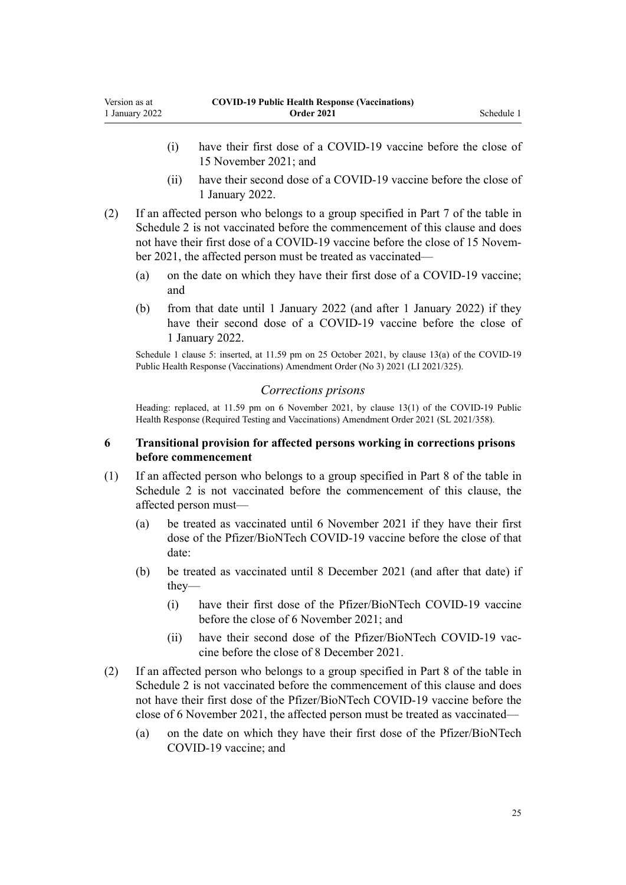Version as at 1 January 2022

- (i) have their first dose of a COVID-19 vaccine before the close of 15 November 2021; and
- (ii) have their second dose of a COVID-19 vaccine before the close of 1 January 2022.
- (2) If an affected person who belongs to a group specified in Part 7 of the table in [Schedule 2](#page-31-0) is not vaccinated before the commencement of this clause and does not have their first dose of a COVID-19 vaccine before the close of 15 November 2021, the affected person must be treated as vaccinated—
	- (a) on the date on which they have their first dose of a COVID-19 vaccine; and
	- (b) from that date until 1 January 2022 (and after 1 January 2022) if they have their second dose of a COVID-19 vaccine before the close of 1 January 2022.

Schedule 1 clause 5: inserted, at 11.59 pm on 25 October 2021, by [clause 13\(a\)](http://legislation.govt.nz/pdflink.aspx?id=LMS579372) of the COVID-19 Public Health Response (Vaccinations) Amendment Order (No 3) 2021 (LI 2021/325).

### *Corrections prisons*

Heading: replaced, at 11.59 pm on 6 November 2021, by [clause 13\(1\)](http://legislation.govt.nz/pdflink.aspx?id=LMS592011) of the COVID-19 Public Health Response (Required Testing and Vaccinations) Amendment Order 2021 (SL 2021/358).

### **6 Transitional provision for affected persons working in corrections prisons before commencement**

- (1) If an affected person who belongs to a group specified in Part 8 of the table in [Schedule 2](#page-31-0) is not vaccinated before the commencement of this clause, the affected person must—
	- (a) be treated as vaccinated until 6 November 2021 if they have their first dose of the Pfizer/BioNTech COVID-19 vaccine before the close of that date:
	- (b) be treated as vaccinated until 8 December 2021 (and after that date) if they—
		- (i) have their first dose of the Pfizer/BioNTech COVID-19 vaccine before the close of 6 November 2021; and
		- (ii) have their second dose of the Pfizer/BioNTech COVID-19 vaccine before the close of 8 December 2021.
- (2) If an affected person who belongs to a group specified in Part 8 of the table in [Schedule 2](#page-31-0) is not vaccinated before the commencement of this clause and does not have their first dose of the Pfizer/BioNTech COVID-19 vaccine before the close of 6 November 2021, the affected person must be treated as vaccinated—
	- (a) on the date on which they have their first dose of the Pfizer/BioNTech COVID-19 vaccine; and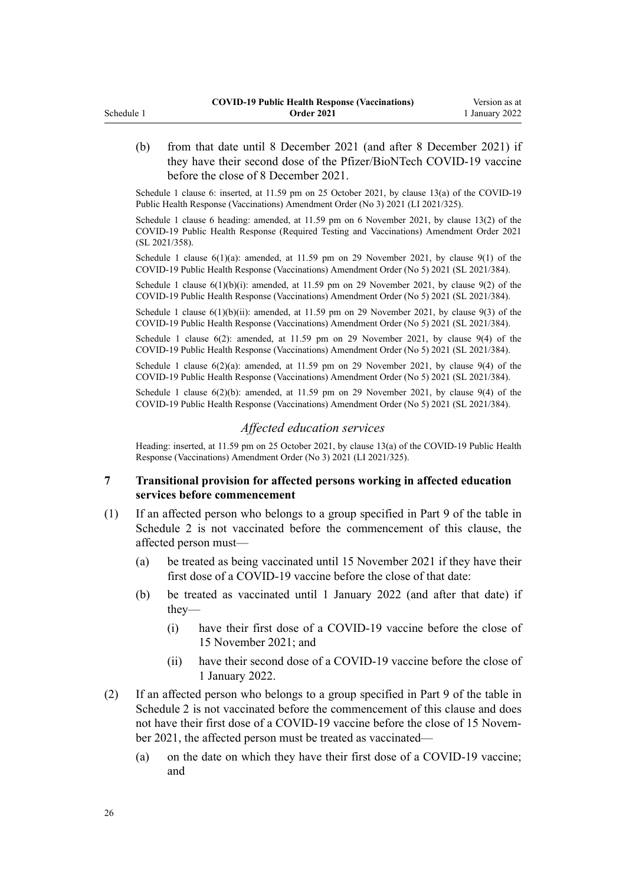<span id="page-25-0"></span>(b) from that date until 8 December 2021 (and after 8 December 2021) if they have their second dose of the Pfizer/BioNTech COVID-19 vaccine before the close of 8 December 2021.

Schedule 1 clause 6: inserted, at 11.59 pm on 25 October 2021, by [clause 13\(a\)](http://legislation.govt.nz/pdflink.aspx?id=LMS579372) of the COVID-19 Public Health Response (Vaccinations) Amendment Order (No 3) 2021 (LI 2021/325).

Schedule 1 clause 6 heading: amended, at 11.59 pm on 6 November 2021, by [clause 13\(2\)](http://legislation.govt.nz/pdflink.aspx?id=LMS592011) of the COVID-19 Public Health Response (Required Testing and Vaccinations) Amendment Order 2021 (SL 2021/358).

Schedule 1 clause  $6(1)(a)$ : amended, at 11.59 pm on 29 November 2021, by clause  $9(1)$  of the COVID-19 Public Health Response (Vaccinations) Amendment Order (No 5) 2021 (SL 2021/384).

Schedule 1 clause  $6(1)(b)(i)$ : amended, at 11.59 pm on 29 November 2021, by [clause 9\(2\)](http://legislation.govt.nz/pdflink.aspx?id=LMS608455) of the COVID-19 Public Health Response (Vaccinations) Amendment Order (No 5) 2021 (SL 2021/384).

Schedule 1 clause  $6(1)(b)(ii)$ : amended, at 11.59 pm on 29 November 2021, by [clause 9\(3\)](http://legislation.govt.nz/pdflink.aspx?id=LMS608455) of the COVID-19 Public Health Response (Vaccinations) Amendment Order (No 5) 2021 (SL 2021/384).

Schedule 1 clause 6(2): amended, at 11.59 pm on 29 November 2021, by [clause 9\(4\)](http://legislation.govt.nz/pdflink.aspx?id=LMS608455) of the COVID-19 Public Health Response (Vaccinations) Amendment Order (No 5) 2021 (SL 2021/384).

Schedule 1 clause  $6(2)(a)$ : amended, at 11.59 pm on 29 November 2021, by [clause 9\(4\)](http://legislation.govt.nz/pdflink.aspx?id=LMS608455) of the COVID-19 Public Health Response (Vaccinations) Amendment Order (No 5) 2021 (SL 2021/384).

Schedule 1 clause  $6(2)(b)$ : amended, at 11.59 pm on 29 November 2021, by [clause 9\(4\)](http://legislation.govt.nz/pdflink.aspx?id=LMS608455) of the COVID-19 Public Health Response (Vaccinations) Amendment Order (No 5) 2021 (SL 2021/384).

### *Affected education services*

Heading: inserted, at 11.59 pm on 25 October 2021, by [clause 13\(a\)](http://legislation.govt.nz/pdflink.aspx?id=LMS579372) of the COVID-19 Public Health Response (Vaccinations) Amendment Order (No 3) 2021 (LI 2021/325).

### **7 Transitional provision for affected persons working in affected education services before commencement**

- (1) If an affected person who belongs to a group specified in Part 9 of the table in [Schedule 2](#page-31-0) is not vaccinated before the commencement of this clause, the affected person must—
	- (a) be treated as being vaccinated until 15 November 2021 if they have their first dose of a COVID-19 vaccine before the close of that date:
	- (b) be treated as vaccinated until 1 January 2022 (and after that date) if they—
		- (i) have their first dose of a COVID-19 vaccine before the close of 15 November 2021; and
		- (ii) have their second dose of a COVID-19 vaccine before the close of 1 January 2022.
- (2) If an affected person who belongs to a group specified in Part 9 of the table in [Schedule 2](#page-31-0) is not vaccinated before the commencement of this clause and does not have their first dose of a COVID-19 vaccine before the close of 15 November 2021, the affected person must be treated as vaccinated—
	- (a) on the date on which they have their first dose of a COVID-19 vaccine; and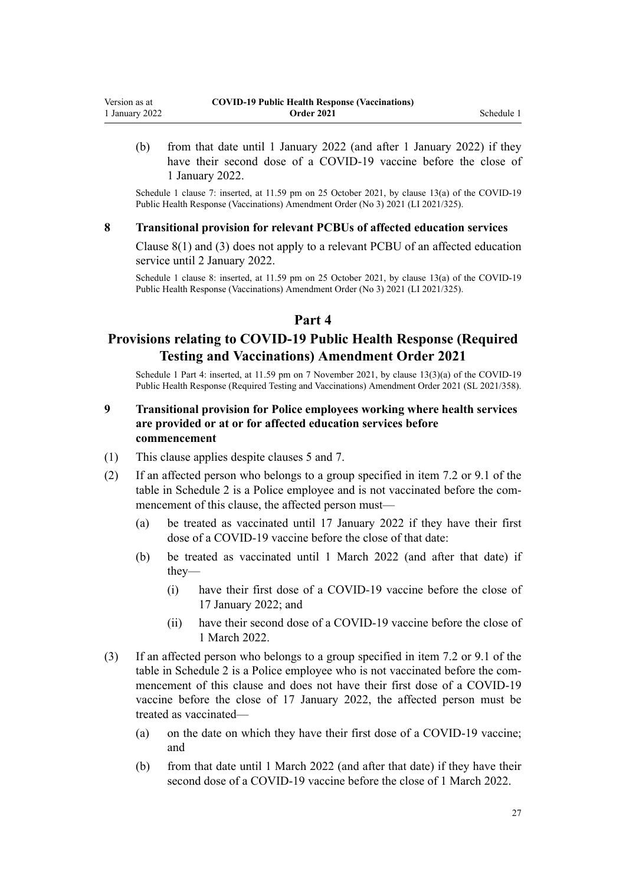(b) from that date until 1 January 2022 (and after 1 January 2022) if they have their second dose of a COVID-19 vaccine before the close of 1 January 2022.

Schedule 1 clause 7: inserted, at 11.59 pm on 25 October 2021, by [clause 13\(a\)](http://legislation.govt.nz/pdflink.aspx?id=LMS579372) of the COVID-19 Public Health Response (Vaccinations) Amendment Order (No 3) 2021 (LI 2021/325).

#### **8 Transitional provision for relevant PCBUs of affected education services**

[Clause 8\(1\) and \(3\)](#page-11-0) does not apply to a relevant PCBU of an affected education service until 2 January 2022.

Schedule 1 clause 8: inserted, at 11.59 pm on 25 October 2021, by [clause 13\(a\)](http://legislation.govt.nz/pdflink.aspx?id=LMS579372) of the COVID-19 Public Health Response (Vaccinations) Amendment Order (No 3) 2021 (LI 2021/325).

### **Part 4**

### **Provisions relating to COVID-19 Public Health Response (Required Testing and Vaccinations) Amendment Order 2021**

Schedule 1 Part 4: inserted, at 11.59 pm on 7 November 2021, by [clause 13\(3\)\(a\)](http://legislation.govt.nz/pdflink.aspx?id=LMS592011) of the COVID-19 Public Health Response (Required Testing and Vaccinations) Amendment Order 2021 (SL 2021/358).

### **9 Transitional provision for Police employees working where health services are provided or at or for affected education services before commencement**

- (1) This clause applies despite [clauses 5](#page-23-0) and [7.](#page-25-0)
- (2) If an affected person who belongs to a group specified in item 7.2 or 9.1 of the table in [Schedule 2](#page-31-0) is a Police employee and is not vaccinated before the com‐ mencement of this clause, the affected person must—
	- (a) be treated as vaccinated until 17 January 2022 if they have their first dose of a COVID-19 vaccine before the close of that date:
	- (b) be treated as vaccinated until 1 March 2022 (and after that date) if they—
		- (i) have their first dose of a COVID-19 vaccine before the close of 17 January 2022; and
		- (ii) have their second dose of a COVID-19 vaccine before the close of 1 March 2022.
- (3) If an affected person who belongs to a group specified in item 7.2 or 9.1 of the table in [Schedule 2](#page-31-0) is a Police employee who is not vaccinated before the com‐ mencement of this clause and does not have their first dose of a COVID-19 vaccine before the close of 17 January 2022, the affected person must be treated as vaccinated—
	- (a) on the date on which they have their first dose of a COVID-19 vaccine; and
	- (b) from that date until 1 March 2022 (and after that date) if they have their second dose of a COVID-19 vaccine before the close of 1 March 2022.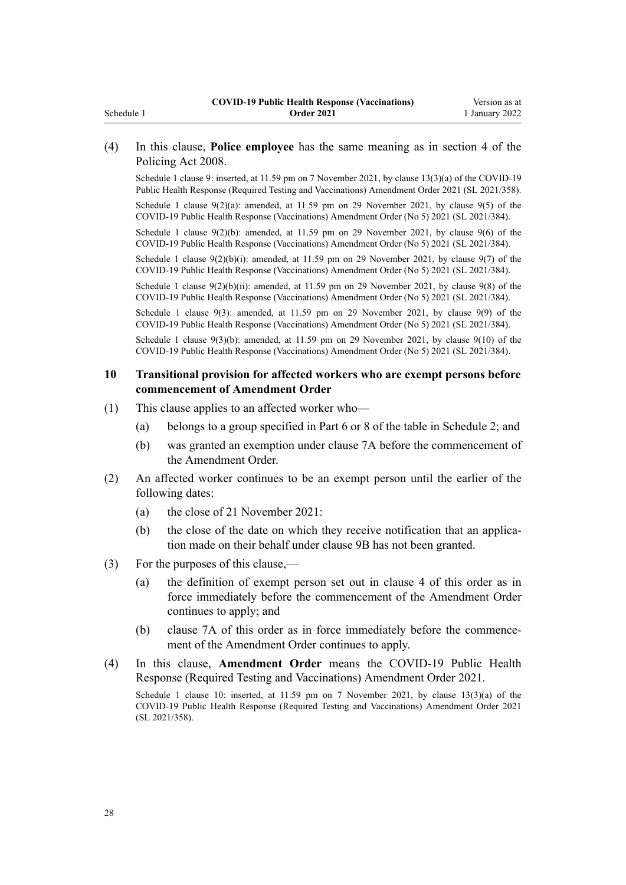### (4) In this clause, **Police employee** has the same meaning as in [section 4](http://legislation.govt.nz/pdflink.aspx?id=DLM1102132) of the Policing Act 2008.

Schedule 1 clause 9: inserted, at 11.59 pm on 7 November 2021, by [clause 13\(3\)\(a\)](http://legislation.govt.nz/pdflink.aspx?id=LMS592011) of the COVID-19 Public Health Response (Required Testing and Vaccinations) Amendment Order 2021 (SL 2021/358).

Schedule 1 clause 9(2)(a): amended, at 11.59 pm on 29 November 2021, by [clause 9\(5\)](http://legislation.govt.nz/pdflink.aspx?id=LMS608455) of the COVID-19 Public Health Response (Vaccinations) Amendment Order (No 5) 2021 (SL 2021/384).

Schedule 1 clause 9(2)(b): amended, at 11.59 pm on 29 November 2021, by [clause 9\(6\)](http://legislation.govt.nz/pdflink.aspx?id=LMS608455) of the COVID-19 Public Health Response (Vaccinations) Amendment Order (No 5) 2021 (SL 2021/384).

Schedule 1 clause  $9(2)(b)(i)$ : amended, at 11.59 pm on 29 November 2021, by clause  $9(7)$  of the COVID-19 Public Health Response (Vaccinations) Amendment Order (No 5) 2021 (SL 2021/384).

Schedule 1 clause  $9(2)(b)(ii)$ : amended, at 11.59 pm on 29 November 2021, by clause  $9(8)$  of the COVID-19 Public Health Response (Vaccinations) Amendment Order (No 5) 2021 (SL 2021/384).

Schedule 1 clause 9(3): amended, at 11.59 pm on 29 November 2021, by [clause 9\(9\)](http://legislation.govt.nz/pdflink.aspx?id=LMS608455) of the COVID-19 Public Health Response (Vaccinations) Amendment Order (No 5) 2021 (SL 2021/384).

Schedule 1 clause  $9(3)(b)$ : amended, at 11.59 pm on 29 November 2021, by clause  $9(10)$  of the COVID-19 Public Health Response (Vaccinations) Amendment Order (No 5) 2021 (SL 2021/384).

### **10 Transitional provision for affected workers who are exempt persons before commencement of Amendment Order**

- (1) This clause applies to an affected worker who—
	- (a) belongs to a group specified in Part 6 or 8 of the table in [Schedule 2;](#page-31-0) and
	- (b) was granted an exemption under [clause 7A](#page-11-0) before the commencement of the Amendment Order.
- (2) An affected worker continues to be an exempt person until the earlier of the following dates:
	- (a) the close of 21 November 2021:
	- (b) the close of the date on which they receive notification that an application made on their behalf under [clause 9B](#page-14-0) has not been granted.
- (3) For the purposes of this clause,—
	- (a) the definition of exempt person set out in [clause 4](#page-1-0) of this order as in force immediately before the commencement of the Amendment Order continues to apply; and
	- (b) [clause 7A](#page-11-0) of this order as in force immediately before the commencement of the Amendment Order continues to apply.
- (4) In this clause, **Amendment Order** means the [COVID-19 Public Health](http://legislation.govt.nz/pdflink.aspx?id=LMS591964) [Response \(Required Testing and Vaccinations\) Amendment Order 2021.](http://legislation.govt.nz/pdflink.aspx?id=LMS591964)

Schedule 1 clause 10: inserted, at 11.59 pm on 7 November 2021, by [clause 13\(3\)\(a\)](http://legislation.govt.nz/pdflink.aspx?id=LMS592011) of the COVID-19 Public Health Response (Required Testing and Vaccinations) Amendment Order 2021 (SL 2021/358).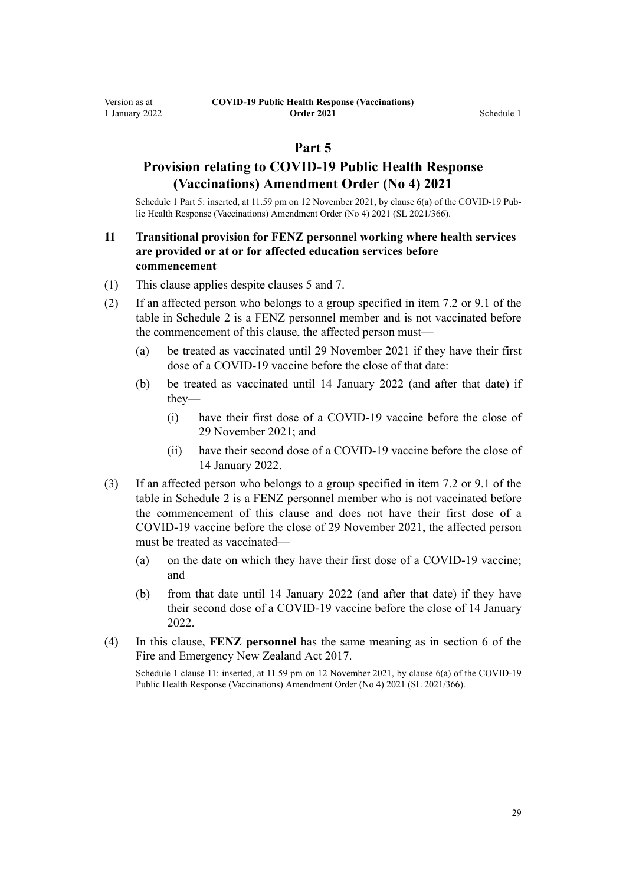### **Part 5**

### **Provision relating to COVID-19 Public Health Response (Vaccinations) Amendment Order (No 4) 2021**

Schedule 1 Part 5: inserted, at 11.59 pm on 12 November 2021, by [clause 6\(a\)](http://legislation.govt.nz/pdflink.aspx?id=LMS596599) of the COVID-19 Public Health Response (Vaccinations) Amendment Order (No 4) 2021 (SL 2021/366).

### **11 Transitional provision for FENZ personnel working where health services are provided or at or for affected education services before commencement**

- (1) This clause applies despite [clauses 5](#page-23-0) and [7.](#page-25-0)
- (2) If an affected person who belongs to a group specified in item 7.2 or 9.1 of the table in [Schedule 2](#page-31-0) is a FENZ personnel member and is not vaccinated before the commencement of this clause, the affected person must—
	- (a) be treated as vaccinated until 29 November 2021 if they have their first dose of a COVID-19 vaccine before the close of that date:
	- (b) be treated as vaccinated until 14 January 2022 (and after that date) if they—
		- (i) have their first dose of a COVID-19 vaccine before the close of 29 November 2021; and
		- (ii) have their second dose of a COVID-19 vaccine before the close of 14 January 2022.
- (3) If an affected person who belongs to a group specified in item 7.2 or 9.1 of the table in [Schedule 2](#page-31-0) is a FENZ personnel member who is not vaccinated before the commencement of this clause and does not have their first dose of a COVID-19 vaccine before the close of 29 November 2021, the affected person must be treated as vaccinated—
	- (a) on the date on which they have their first dose of a COVID-19 vaccine; and
	- (b) from that date until 14 January 2022 (and after that date) if they have their second dose of a COVID-19 vaccine before the close of 14 January 2022.
- (4) In this clause, **FENZ personnel** has the same meaning as in [section 6](http://legislation.govt.nz/pdflink.aspx?id=DLM6678613) of the Fire and Emergency New Zealand Act 2017.

Schedule 1 clause 11: inserted, at 11.59 pm on 12 November 2021, by [clause 6\(a\)](http://legislation.govt.nz/pdflink.aspx?id=LMS596599) of the COVID-19 Public Health Response (Vaccinations) Amendment Order (No 4) 2021 (SL 2021/366).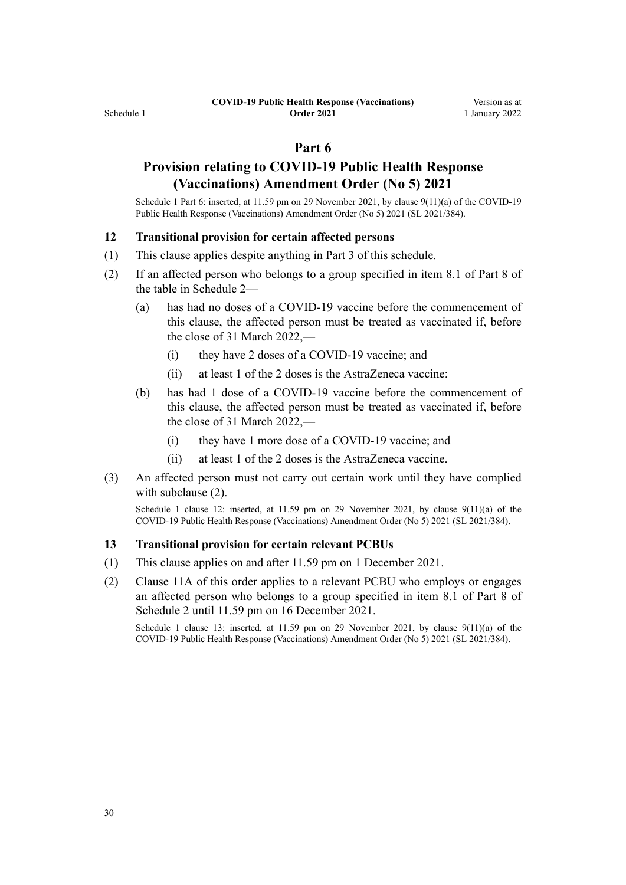### **Part 6**

### **Provision relating to COVID-19 Public Health Response (Vaccinations) Amendment Order (No 5) 2021**

Schedule 1 Part 6: inserted, at 11.59 pm on 29 November 2021, by [clause 9\(11\)\(a\)](http://legislation.govt.nz/pdflink.aspx?id=LMS608455) of the COVID-19 Public Health Response (Vaccinations) Amendment Order (No 5) 2021 (SL 2021/384).

#### **12 Transitional provision for certain affected persons**

- (1) This clause applies despite anything in [Part 3](#page-23-0) of this schedule.
- (2) If an affected person who belongs to a group specified in item 8.1 of Part 8 of the table in [Schedule 2—](#page-31-0)
	- (a) has had no doses of a COVID-19 vaccine before the commencement of this clause, the affected person must be treated as vaccinated if, before the close of 31 March 2022,—
		- (i) they have 2 doses of a COVID-19 vaccine; and
		- (ii) at least 1 of the 2 doses is the AstraZeneca vaccine:
	- (b) has had 1 dose of a COVID-19 vaccine before the commencement of this clause, the affected person must be treated as vaccinated if, before the close of 31 March 2022,—
		- (i) they have 1 more dose of a COVID-19 vaccine; and
		- (ii) at least 1 of the 2 doses is the AstraZeneca vaccine.
- (3) An affected person must not carry out certain work until they have complied with subclause (2).

Schedule 1 clause 12: inserted, at 11.59 pm on 29 November 2021, by [clause 9\(11\)\(a\)](http://legislation.govt.nz/pdflink.aspx?id=LMS608455) of the COVID-19 Public Health Response (Vaccinations) Amendment Order (No 5) 2021 (SL 2021/384).

#### **13 Transitional provision for certain relevant PCBUs**

- (1) This clause applies on and after 11.59 pm on 1 December 2021.
- (2) [Clause 11A](#page-17-0) of this order applies to a relevant PCBU who employs or engages an affected person who belongs to a group specified in item 8.1 of Part 8 of [Schedule 2](#page-31-0) until 11.59 pm on 16 December 2021.

Schedule 1 clause 13: inserted, at 11.59 pm on 29 November 2021, by clause  $9(11)(a)$  of the COVID-19 Public Health Response (Vaccinations) Amendment Order (No 5) 2021 (SL 2021/384).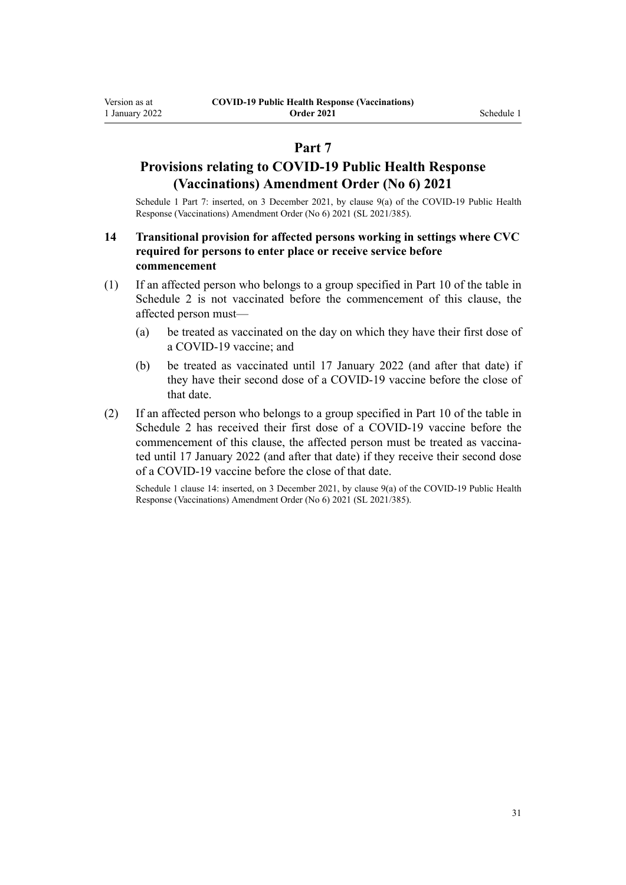### **Part 7**

## **Provisions relating to COVID-19 Public Health Response (Vaccinations) Amendment Order (No 6) 2021**

Schedule 1 Part 7: inserted, on 3 December 2021, by [clause 9\(a\)](http://legislation.govt.nz/pdflink.aspx?id=LMS609404) of the COVID-19 Public Health Response (Vaccinations) Amendment Order (No 6) 2021 (SL 2021/385).

### **14 Transitional provision for affected persons working in settings where CVC required for persons to enter place or receive service before commencement**

- (1) If an affected person who belongs to a group specified in Part 10 of the table in [Schedule 2](#page-31-0) is not vaccinated before the commencement of this clause, the affected person must—
	- (a) be treated as vaccinated on the day on which they have their first dose of a COVID-19 vaccine; and
	- (b) be treated as vaccinated until 17 January 2022 (and after that date) if they have their second dose of a COVID-19 vaccine before the close of that date.
- (2) If an affected person who belongs to a group specified in Part 10 of the table in [Schedule 2](#page-31-0) has received their first dose of a COVID-19 vaccine before the commencement of this clause, the affected person must be treated as vaccinated until 17 January 2022 (and after that date) if they receive their second dose of a COVID-19 vaccine before the close of that date.

Schedule 1 clause 14: inserted, on 3 December 2021, by [clause 9\(a\)](http://legislation.govt.nz/pdflink.aspx?id=LMS609404) of the COVID-19 Public Health Response (Vaccinations) Amendment Order (No 6) 2021 (SL 2021/385).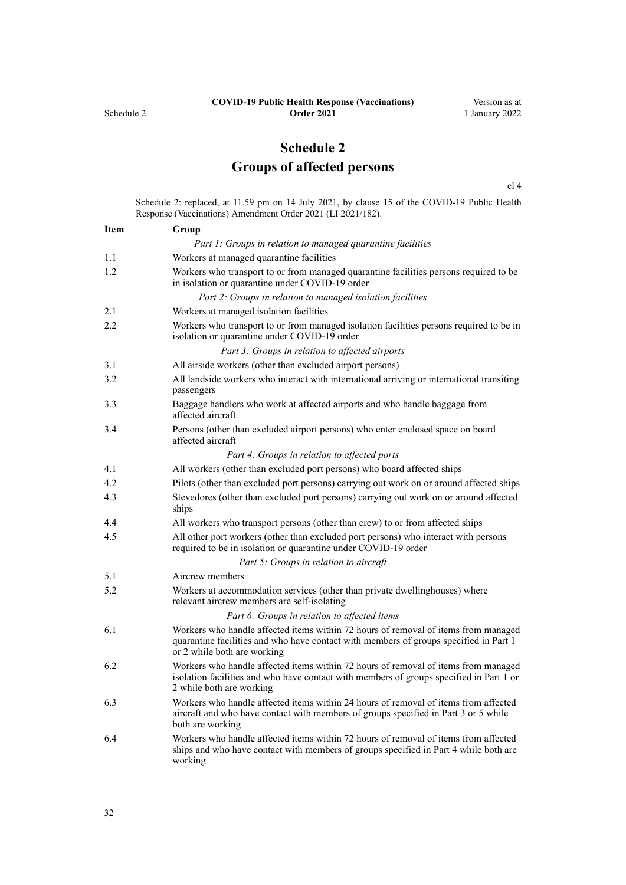# **Schedule 2 Groups of affected persons**

[cl 4](#page-1-0)

<span id="page-31-0"></span>Schedule 2: replaced, at 11.59 pm on 14 July 2021, by [clause 15](http://legislation.govt.nz/pdflink.aspx?id=LMS519348) of the COVID-19 Public Health Response (Vaccinations) Amendment Order 2021 (LI 2021/182).

| <b>Item</b> | Group                                                                                                                                                                                                      |  |
|-------------|------------------------------------------------------------------------------------------------------------------------------------------------------------------------------------------------------------|--|
|             | Part 1: Groups in relation to managed quarantine facilities                                                                                                                                                |  |
| 1.1         | Workers at managed quarantine facilities                                                                                                                                                                   |  |
| 1.2         | Workers who transport to or from managed quarantine facilities persons required to be<br>in isolation or quarantine under COVID-19 order                                                                   |  |
|             | Part 2: Groups in relation to managed isolation facilities                                                                                                                                                 |  |
| 2.1         | Workers at managed isolation facilities                                                                                                                                                                    |  |
| 2.2         | Workers who transport to or from managed isolation facilities persons required to be in<br>isolation or quarantine under COVID-19 order                                                                    |  |
|             | Part 3: Groups in relation to affected airports                                                                                                                                                            |  |
| 3.1         | All airside workers (other than excluded airport persons)                                                                                                                                                  |  |
| 3.2         | All landside workers who interact with international arriving or international transiting<br>passengers                                                                                                    |  |
| 3.3         | Baggage handlers who work at affected airports and who handle baggage from<br>affected aircraft                                                                                                            |  |
| 3.4         | Persons (other than excluded airport persons) who enter enclosed space on board<br>affected aircraft                                                                                                       |  |
|             | Part 4: Groups in relation to affected ports                                                                                                                                                               |  |
| 4.1         | All workers (other than excluded port persons) who board affected ships                                                                                                                                    |  |
| 4.2         | Pilots (other than excluded port persons) carrying out work on or around affected ships                                                                                                                    |  |
| 4.3         | Stevedores (other than excluded port persons) carrying out work on or around affected<br>ships                                                                                                             |  |
| 4.4         | All workers who transport persons (other than crew) to or from affected ships                                                                                                                              |  |
| 4.5         | All other port workers (other than excluded port persons) who interact with persons<br>required to be in isolation or quarantine under COVID-19 order                                                      |  |
|             | Part 5: Groups in relation to aircraft                                                                                                                                                                     |  |
| 5.1         | Aircrew members                                                                                                                                                                                            |  |
| 5.2         | Workers at accommodation services (other than private dwellinghouses) where<br>relevant aircrew members are self-isolating                                                                                 |  |
|             | Part 6: Groups in relation to affected items                                                                                                                                                               |  |
| 6.1         | Workers who handle affected items within 72 hours of removal of items from managed<br>quarantine facilities and who have contact with members of groups specified in Part 1<br>or 2 while both are working |  |
| 6.2         | Workers who handle affected items within 72 hours of removal of items from managed<br>isolation facilities and who have contact with members of groups specified in Part 1 or<br>2 while both are working  |  |
| 6.3         | Workers who handle affected items within 24 hours of removal of items from affected<br>aircraft and who have contact with members of groups specified in Part 3 or 5 while<br>both are working             |  |
| 6.4         | Workers who handle affected items within 72 hours of removal of items from affected<br>ships and who have contact with members of groups specified in Part 4 while both are<br>working                     |  |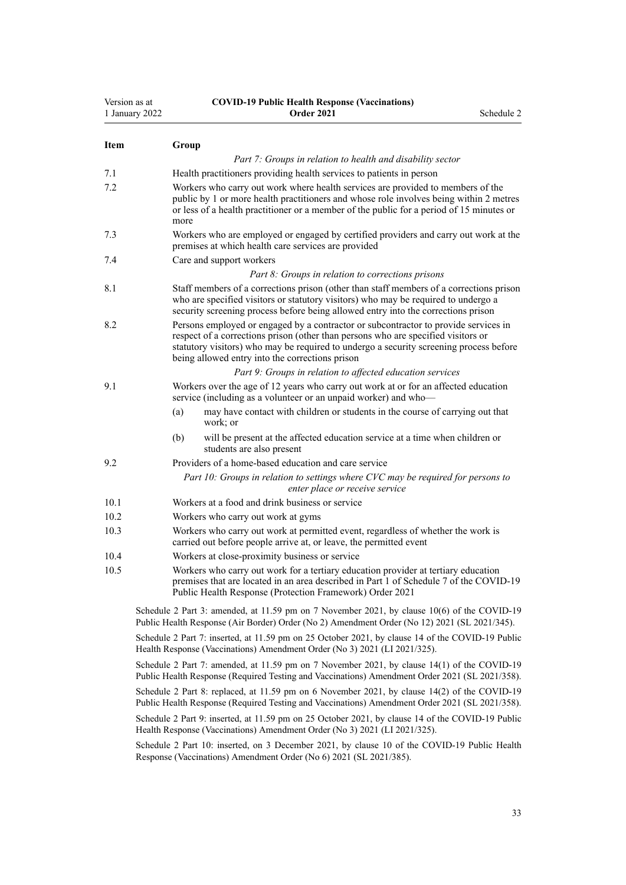| Version as at<br>1 January 2022 |                                                                                                                                                                                                                                                                                                                       | <b>COVID-19 Public Health Response (Vaccinations)</b><br><b>Order 2021</b>                                                                                                                                                               | Schedule 2 |  |
|---------------------------------|-----------------------------------------------------------------------------------------------------------------------------------------------------------------------------------------------------------------------------------------------------------------------------------------------------------------------|------------------------------------------------------------------------------------------------------------------------------------------------------------------------------------------------------------------------------------------|------------|--|
| <b>Item</b>                     | Group                                                                                                                                                                                                                                                                                                                 |                                                                                                                                                                                                                                          |            |  |
|                                 |                                                                                                                                                                                                                                                                                                                       | Part 7: Groups in relation to health and disability sector                                                                                                                                                                               |            |  |
| 7.1                             |                                                                                                                                                                                                                                                                                                                       | Health practitioners providing health services to patients in person                                                                                                                                                                     |            |  |
| 7.2                             | Workers who carry out work where health services are provided to members of the<br>public by 1 or more health practitioners and whose role involves being within 2 metres<br>or less of a health practitioner or a member of the public for a period of 15 minutes or<br>more                                         |                                                                                                                                                                                                                                          |            |  |
| 7.3                             |                                                                                                                                                                                                                                                                                                                       | Workers who are employed or engaged by certified providers and carry out work at the<br>premises at which health care services are provided                                                                                              |            |  |
| 7.4                             |                                                                                                                                                                                                                                                                                                                       | Care and support workers                                                                                                                                                                                                                 |            |  |
|                                 |                                                                                                                                                                                                                                                                                                                       | Part 8: Groups in relation to corrections prisons                                                                                                                                                                                        |            |  |
| 8.1                             | Staff members of a corrections prison (other than staff members of a corrections prison<br>who are specified visitors or statutory visitors) who may be required to undergo a<br>security screening process before being allowed entry into the corrections prison                                                    |                                                                                                                                                                                                                                          |            |  |
| 8.2                             | Persons employed or engaged by a contractor or subcontractor to provide services in<br>respect of a corrections prison (other than persons who are specified visitors or<br>statutory visitors) who may be required to undergo a security screening process before<br>being allowed entry into the corrections prison |                                                                                                                                                                                                                                          |            |  |
|                                 |                                                                                                                                                                                                                                                                                                                       | Part 9: Groups in relation to affected education services                                                                                                                                                                                |            |  |
| 9.1                             |                                                                                                                                                                                                                                                                                                                       | Workers over the age of 12 years who carry out work at or for an affected education<br>service (including as a volunteer or an unpaid worker) and who-                                                                                   |            |  |
|                                 | (a)                                                                                                                                                                                                                                                                                                                   | may have contact with children or students in the course of carrying out that<br>work; or                                                                                                                                                |            |  |
|                                 | (b)                                                                                                                                                                                                                                                                                                                   | will be present at the affected education service at a time when children or<br>students are also present                                                                                                                                |            |  |
| 9.2                             |                                                                                                                                                                                                                                                                                                                       | Providers of a home-based education and care service                                                                                                                                                                                     |            |  |
|                                 |                                                                                                                                                                                                                                                                                                                       | Part 10: Groups in relation to settings where CVC may be required for persons to<br>enter place or receive service                                                                                                                       |            |  |
| 10.1                            |                                                                                                                                                                                                                                                                                                                       | Workers at a food and drink business or service                                                                                                                                                                                          |            |  |
| 10.2                            |                                                                                                                                                                                                                                                                                                                       | Workers who carry out work at gyms                                                                                                                                                                                                       |            |  |
| 10.3                            |                                                                                                                                                                                                                                                                                                                       | Workers who carry out work at permitted event, regardless of whether the work is<br>carried out before people arrive at, or leave, the permitted event                                                                                   |            |  |
| 10.4                            |                                                                                                                                                                                                                                                                                                                       | Workers at close-proximity business or service                                                                                                                                                                                           |            |  |
| 10.5                            |                                                                                                                                                                                                                                                                                                                       | Workers who carry out work for a tertiary education provider at tertiary education<br>premises that are located in an area described in Part 1 of Schedule 7 of the COVID-19<br>Public Health Response (Protection Framework) Order 2021 |            |  |
|                                 |                                                                                                                                                                                                                                                                                                                       | Schedule 2 Part 3: amended, at 11.59 pm on 7 November 2021, by clause 10(6) of the COVID-19<br>Public Health Response (Air Border) Order (No 2) Amendment Order (No 12) 2021 (SL 2021/345).                                              |            |  |
|                                 |                                                                                                                                                                                                                                                                                                                       | Schedule 2 Part 7: inserted, at 11.59 pm on 25 October 2021, by clause 14 of the COVID-19 Public<br>Health Response (Vaccinations) Amendment Order (No 3) 2021 (LI 2021/325).                                                            |            |  |
|                                 |                                                                                                                                                                                                                                                                                                                       | Schedule 2 Part 7: amended, at 11.59 pm on 7 November 2021, by clause 14(1) of the COVID-19<br>Public Health Response (Required Testing and Vaccinations) Amendment Order 2021 (SL 2021/358).                                            |            |  |
|                                 |                                                                                                                                                                                                                                                                                                                       | Schedule 2 Part 8: replaced, at 11.59 pm on 6 November 2021, by clause 14(2) of the COVID-19<br>Public Health Response (Required Testing and Vaccinations) Amendment Order 2021 (SL 2021/358).                                           |            |  |
|                                 |                                                                                                                                                                                                                                                                                                                       | Schedule 2 Part 9: inserted, at 11.59 pm on 25 October 2021, by clause 14 of the COVID-19 Public<br>Health Response (Vaccinations) Amendment Order (No 3) 2021 (LI 2021/325).                                                            |            |  |
|                                 |                                                                                                                                                                                                                                                                                                                       | Schedule 2 Part 10: inserted, on 3 December 2021, by clause 10 of the COVID-19 Public Health                                                                                                                                             |            |  |

Schedule 2 Part 10: inserted, on 3 December 2021, by [clause 10](http://legislation.govt.nz/pdflink.aspx?id=LMS609406) of the COVID-19 Public Health Response (Vaccinations) Amendment Order (No 6) 2021 (SL 2021/385).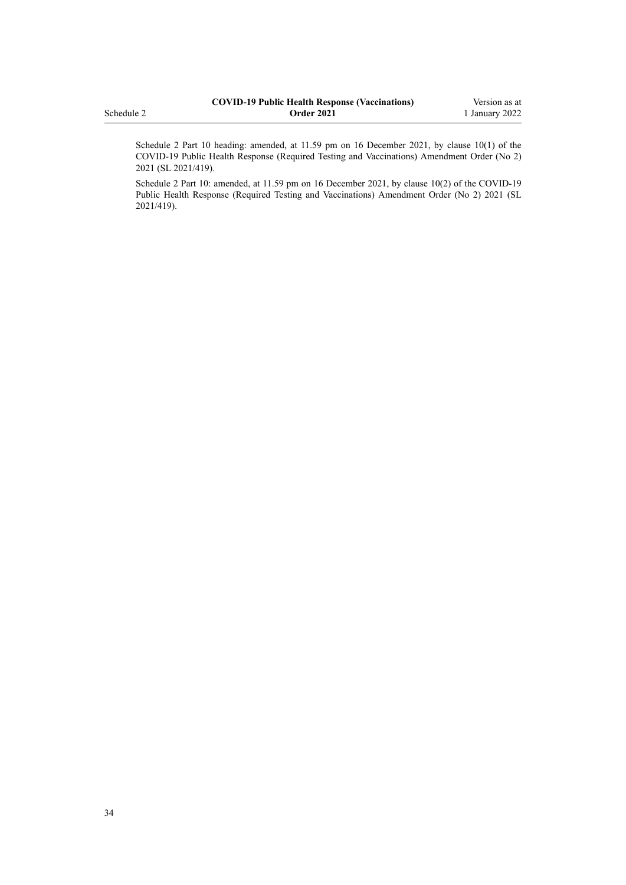|            | <b>COVID-19 Public Health Response (Vaccinations)</b> | Version as at  |
|------------|-------------------------------------------------------|----------------|
| Schedule 2 | <b>Order 2021</b>                                     | 1 January 2022 |
|            |                                                       |                |

Schedule 2 Part 10 heading: amended, at 11.59 pm on 16 December 2021, by [clause 10\(1\)](http://legislation.govt.nz/pdflink.aspx?id=LMS618035) of the COVID-19 Public Health Response (Required Testing and Vaccinations) Amendment Order (No 2) 2021 (SL 2021/419).

Schedule 2 Part 10: amended, at 11.59 pm on 16 December 2021, by [clause 10\(2\)](http://legislation.govt.nz/pdflink.aspx?id=LMS618035) of the COVID-19 Public Health Response (Required Testing and Vaccinations) Amendment Order (No 2) 2021 (SL 2021/419).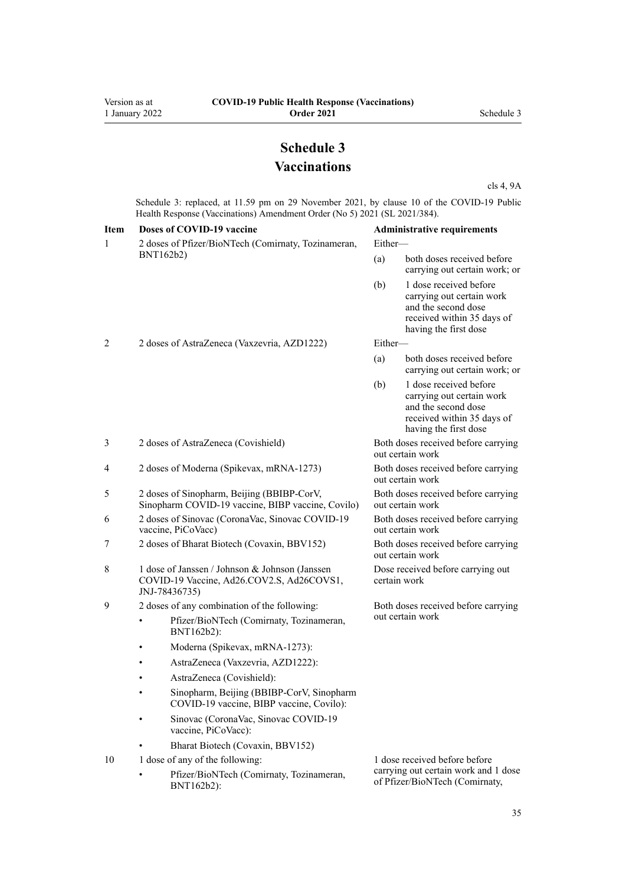# **Schedule 3 Vaccinations**

[cls 4,](#page-1-0) [9A](#page-13-0)

<span id="page-34-0"></span>Schedule 3: replaced, at 11.59 pm on 29 November 2021, by [clause 10](http://legislation.govt.nz/pdflink.aspx?id=LMS608456) of the COVID-19 Public Health Response (Vaccinations) Amendment Order (No 5) 2021 (SL 2021/384).

| <b>Item</b> | Doses of COVID-19 vaccine                                                                                    | <b>Administrative requirements</b>                                     |                                                                                                                                   |  |
|-------------|--------------------------------------------------------------------------------------------------------------|------------------------------------------------------------------------|-----------------------------------------------------------------------------------------------------------------------------------|--|
| 1           | 2 doses of Pfizer/BioNTech (Comirnaty, Tozinameran,                                                          | Either-                                                                |                                                                                                                                   |  |
|             | BNT162b2)                                                                                                    |                                                                        | both doses received before<br>carrying out certain work; or                                                                       |  |
|             |                                                                                                              | (b)                                                                    | 1 dose received before<br>carrying out certain work<br>and the second dose<br>received within 35 days of<br>having the first dose |  |
| 2           | 2 doses of AstraZeneca (Vaxzevria, AZD1222)                                                                  | Either-                                                                |                                                                                                                                   |  |
|             |                                                                                                              |                                                                        | both doses received before<br>carrying out certain work; or                                                                       |  |
|             |                                                                                                              | (b)                                                                    | 1 dose received before<br>carrying out certain work<br>and the second dose<br>received within 35 days of<br>having the first dose |  |
| 3           | 2 doses of AstraZeneca (Covishield)                                                                          |                                                                        | Both doses received before carrying<br>out certain work                                                                           |  |
| 4           | 2 doses of Moderna (Spikevax, mRNA-1273)                                                                     |                                                                        | Both doses received before carrying<br>out certain work                                                                           |  |
| 5           | 2 doses of Sinopharm, Beijing (BBIBP-CorV,<br>Sinopharm COVID-19 vaccine, BIBP vaccine, Covilo)              | Both doses received before carrying<br>out certain work                |                                                                                                                                   |  |
| 6           | 2 doses of Sinovac (CoronaVac, Sinovac COVID-19<br>vaccine, PiCoVacc)                                        | Both doses received before carrying<br>out certain work                |                                                                                                                                   |  |
| 7           | 2 doses of Bharat Biotech (Covaxin, BBV152)                                                                  | Both doses received before carrying<br>out certain work                |                                                                                                                                   |  |
| 8           | 1 dose of Janssen / Johnson & Johnson (Janssen<br>COVID-19 Vaccine, Ad26.COV2.S, Ad26COVS1,<br>JNJ-78436735) | Dose received before carrying out<br>certain work                      |                                                                                                                                   |  |
| 9           | 2 doses of any combination of the following:                                                                 |                                                                        | Both doses received before carrying                                                                                               |  |
|             | Pfizer/BioNTech (Comirnaty, Tozinameran,<br>BNT162b2):                                                       |                                                                        | out certain work                                                                                                                  |  |
|             | Moderna (Spikevax, mRNA-1273):                                                                               |                                                                        |                                                                                                                                   |  |
|             | AstraZeneca (Vaxzevria, AZD1222):                                                                            |                                                                        |                                                                                                                                   |  |
|             | AstraZeneca (Covishield):                                                                                    |                                                                        |                                                                                                                                   |  |
|             | Sinopharm, Beijing (BBIBP-CorV, Sinopharm<br>COVID-19 vaccine, BIBP vaccine, Covilo):                        |                                                                        |                                                                                                                                   |  |
|             | Sinovac (CoronaVac, Sinovac COVID-19<br>vaccine, PiCoVacc):                                                  |                                                                        |                                                                                                                                   |  |
|             | Bharat Biotech (Covaxin, BBV152)                                                                             |                                                                        |                                                                                                                                   |  |
| 10          | 1 dose of any of the following:                                                                              |                                                                        | 1 dose received before before                                                                                                     |  |
|             | Pfizer/BioNTech (Comirnaty, Tozinameran,<br>BNT162b2):                                                       | carrying out certain work and 1 dose<br>of Pfizer/BioNTech (Comirnaty, |                                                                                                                                   |  |
|             |                                                                                                              |                                                                        |                                                                                                                                   |  |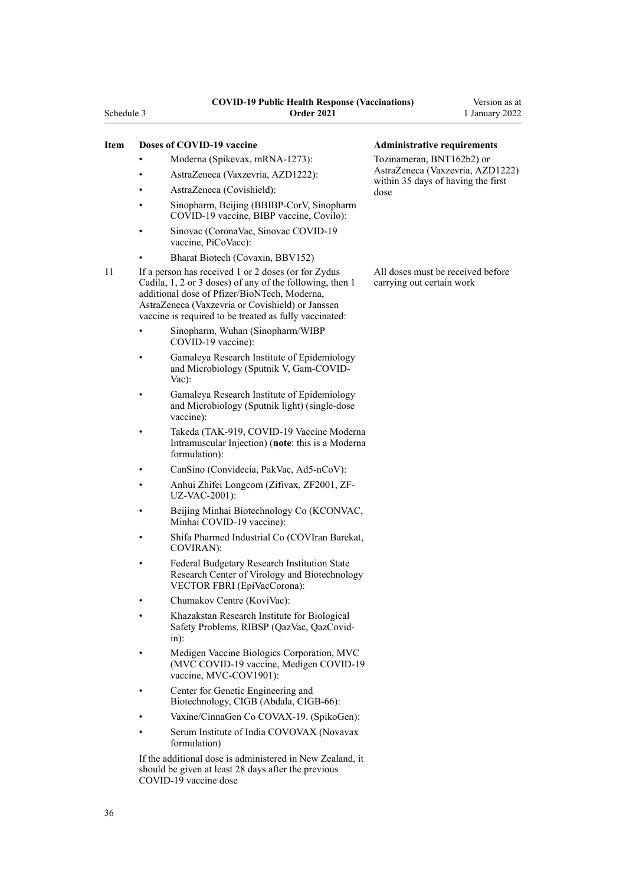- Moderna (Spikevax, mRNA-1273):
- AstraZeneca (Vaxzevria, AZD1222):
- AstraZeneca (Covishield):
- Sinopharm, Beijing (BBIBP-CorV, Sinopharm COVID-19 vaccine, BIBP vaccine, Covilo):
- Sinovac (CoronaVac, Sinovac COVID-19 vaccine, PiCoVacc):
	- Bharat Biotech (Covaxin, BBV152)
- 11 If a person has received 1 or 2 doses (or for Zydus Cadila, 1, 2 or 3 doses) of any of the following, then 1 additional dose of Pfizer/BioNTech, Moderna, AstraZeneca (Vaxzevria or Covishield) or Janssen vaccine is required to be treated as fully vaccinated:
	- Sinopharm, Wuhan (Sinopharm/WIBP COVID-19 vaccine):
	- Gamaleya Research Institute of Epidemiology and Microbiology (Sputnik V, Gam-COVID-Vac):
	- Gamaleya Research Institute of Epidemiology and Microbiology (Sputnik light) (single-dose vaccine):
	- Takeda (TAK-919, COVID-19 Vaccine Moderna Intramuscular Injection) (**note**: this is a Moderna formulation):
	- CanSino (Convidecia, PakVac, Ad5-nCoV):
	- Anhui Zhifei Longcom (Zifivax, ZF2001, ZF-UZ-VAC-2001):
	- Beijing Minhai Biotechnology Co (KCONVAC, Minhai COVID-19 vaccine):
	- Shifa Pharmed Industrial Co (COVIran Barekat, COVIRAN):
	- Federal Budgetary Research Institution State Research Center of Virology and Biotechnology VECTOR FBRI (EpiVacCorona):
	- Chumakov Centre (KoviVac):
	- Khazakstan Research Institute for Biological Safety Problems, RIBSP (QazVac, QazCovidin):
	- Medigen Vaccine Biologics Corporation, MVC (MVC COVID-19 vaccine, Medigen COVID-19 vaccine, MVC-COV1901):
	- Center for Genetic Engineering and Biotechnology, CIGB (Abdala, CIGB-66):
	- Vaxine/CinnaGen Co COVAX-19. (SpikoGen):
	- Serum Institute of India COVOVAX (Novavax formulation)

If the additional dose is administered in New Zealand, it should be given at least 28 days after the previous COVID-19 vaccine dose

### **Item Doses of COVID-19 vaccine Administrative requirements**

Tozinameran, BNT162b2) or AstraZeneca (Vaxzevria, AZD1222) within 35 days of having the first dose

All doses must be received before carrying out certain work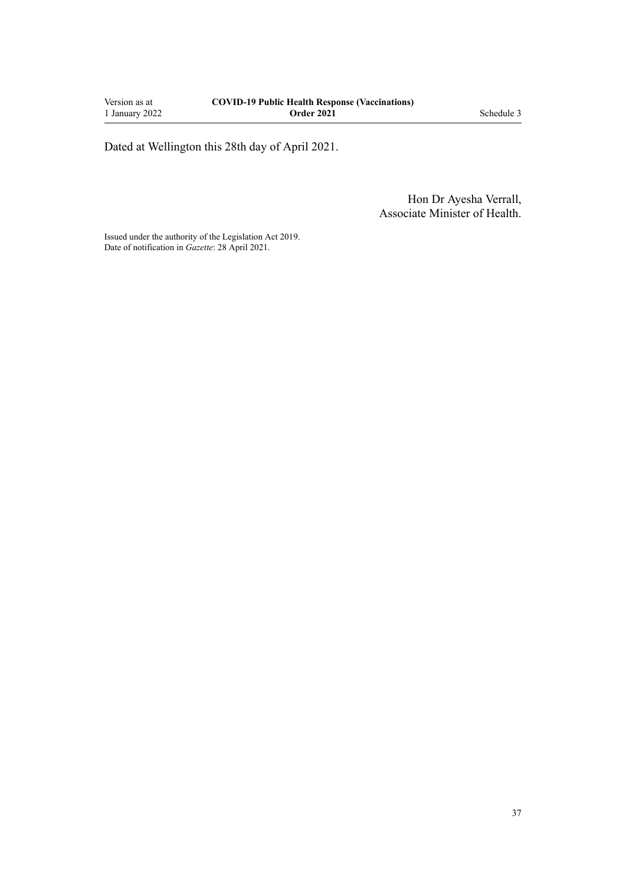Dated at Wellington this 28th day of April 2021.

Hon Dr Ayesha Verrall, Associate Minister of Health.

Issued under the authority of the [Legislation Act 2019](http://legislation.govt.nz/pdflink.aspx?id=DLM7298104). Date of notification in *Gazette*: 28 April 2021.